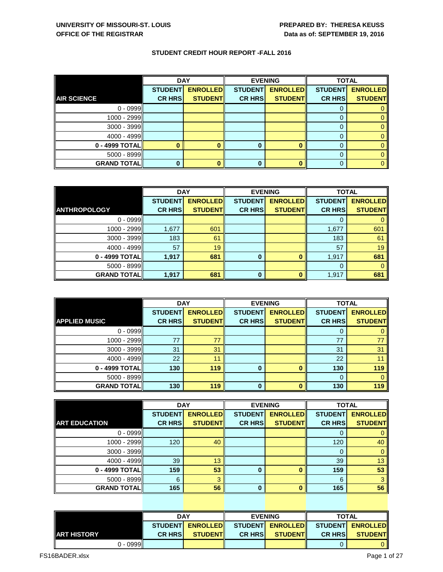|                      | <b>DAY</b>     |                 |                | <b>EVENING</b>  | <b>TOTAL</b>   |                 |
|----------------------|----------------|-----------------|----------------|-----------------|----------------|-----------------|
|                      | <b>STUDENT</b> | <b>ENROLLED</b> | <b>STUDENT</b> | <b>ENROLLED</b> | <b>STUDENT</b> | <b>ENROLLED</b> |
| <b>AIR SCIENCE</b>   | <b>CR HRS</b>  | <b>STUDENT</b>  | <b>CR HRS</b>  | <b>STUDENT</b>  | <b>CR HRS</b>  | <b>STUDENT</b>  |
| $0 - 0999$           |                |                 |                |                 |                |                 |
| 1000 - 2999          |                |                 |                |                 |                |                 |
| $3000 - 3999$        |                |                 |                |                 |                |                 |
| 4000 - 4999          |                |                 |                |                 | 0              |                 |
| $0 - 4999$ TOTAL     |                |                 | 0              |                 |                |                 |
| $5000 - 8999$        |                |                 |                |                 | 0              |                 |
| <b>GRAND TOTAL  </b> | 0              |                 | 0              |                 |                |                 |

|                     | <b>DAY</b>     |                 | <b>EVENING</b> |                 | <b>TOTAL</b>   |                 |
|---------------------|----------------|-----------------|----------------|-----------------|----------------|-----------------|
|                     | <b>STUDENT</b> | <b>ENROLLED</b> | <b>STUDENT</b> | <b>ENROLLED</b> | <b>STUDENT</b> | <b>ENROLLED</b> |
| <b>ANTHROPOLOGY</b> | <b>CR HRS</b>  | <b>STUDENT</b>  | <b>CR HRS</b>  | <b>STUDENT</b>  | <b>CR HRS</b>  | <b>STUDENT</b>  |
| $0 - 0999$          |                |                 |                |                 |                |                 |
| 1000 - 2999         | 1,677          | 601             |                |                 | 1,677          | 601             |
| $3000 - 3999$       | 183            | 61              |                |                 | 183            | 61              |
| 4000 - 4999         | 57             | 19              |                |                 | 57             | 19              |
| 0 - 4999 TOTAL      | 1,917          | 681             | 0              | 0               | 1,917          | 681             |
| $5000 - 8999$       |                |                 |                |                 | 0              | $\Omega$        |
| <b>GRAND TOTAL</b>  | 1,917          | 681             | $\bf{0}$       | ŋ               | 1,917          | 681             |

|                      | <b>DAY</b>     |                 |                | <b>EVENING</b>  | <b>TOTAL</b>   |                 |
|----------------------|----------------|-----------------|----------------|-----------------|----------------|-----------------|
|                      | <b>STUDENT</b> | <b>ENROLLED</b> | <b>STUDENT</b> | <b>ENROLLED</b> | <b>STUDENT</b> | <b>ENROLLED</b> |
| <b>APPLIED MUSIC</b> | <b>CR HRS</b>  | <b>STUDENT</b>  | <b>CR HRS</b>  | <b>STUDENT</b>  | <b>CR HRS</b>  | <b>STUDENT</b>  |
| $0 - 0999$           |                |                 |                |                 | U              |                 |
| 1000 - 2999          | 77             | 77              |                |                 | 77             |                 |
| $3000 - 3999$        | 31             | 31              |                |                 | 31             | 31              |
| 4000 - 4999          | 22             | 11              |                |                 | 22             |                 |
| 0 - 4999 TOTAL       | 130            | 119             | $\bf{0}$       |                 | 130            | 119             |
| $5000 - 8999$        |                |                 |                |                 | $\Omega$       |                 |
| <b>GRAND TOTALI</b>  | 130            | 119             | $\bf{0}$       |                 | 130            | 119             |

|                      | <b>DAY</b>     |                 |                | <b>EVENING</b>  | <b>TOTAL</b>   |                 |
|----------------------|----------------|-----------------|----------------|-----------------|----------------|-----------------|
|                      | <b>STUDENT</b> | <b>ENROLLED</b> | <b>STUDENT</b> | <b>ENROLLED</b> | <b>STUDENT</b> | <b>ENROLLED</b> |
| <b>ART EDUCATION</b> | <b>CR HRS</b>  | <b>STUDENT</b>  | <b>CR HRS</b>  | <b>STUDENT</b>  | <b>CR HRS</b>  | <b>STUDENT</b>  |
| $0 - 0999$           |                |                 |                |                 |                | 0               |
| 1000 - 2999          | 120            | 40              |                |                 | 120            | 40              |
| $3000 - 3999$        |                |                 |                |                 |                | $\overline{0}$  |
| 4000 - 4999          | 39             | 13              |                |                 | 39             | 13              |
| 0 - 4999 TOTAL       | 159            | 53              | 0              |                 | 159            | 53              |
| $5000 - 8999$        | 6              | 3               |                |                 | 6              | 3               |
| <b>GRAND TOTAL</b>   | 165            | 56              | $\bf{0}$       |                 | 165            | 56              |

|               | <b>DAY</b>     |                    | <b>EVENING</b> |                 |                                       | <b>TOTAL</b>   |  |
|---------------|----------------|--------------------|----------------|-----------------|---------------------------------------|----------------|--|
|               |                | STUDENTI ENROLLEDI |                |                 | STUDENTI ENROLLEDI STUDENTI ENROLLEDI |                |  |
| IIART HISTORY | <b>CR HRSI</b> | <b>STUDENTI</b>    | <b>CR HRSI</b> | <b>STUDENTI</b> | <b>CR HRSI</b>                        | <b>STUDENT</b> |  |
| $0 - 0999$    |                |                    |                |                 |                                       |                |  |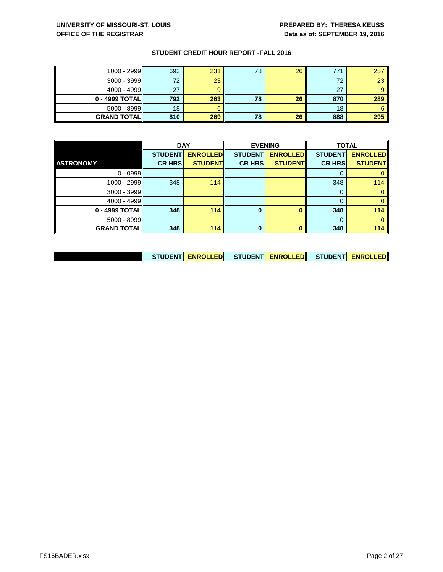| $1000 - 2999$    | 693 | 231 | 78 | 26 | 771 | 257             |
|------------------|-----|-----|----|----|-----|-----------------|
| $3000 - 3999$    | 72  | 23  |    |    | 72  | 23 <sup>°</sup> |
| 4000 - 4999      | 27  |     |    |    | 27  |                 |
| $0 - 4999$ TOTAL | 792 | 263 | 78 | 26 | 870 | 289             |
| $5000 - 8999$    | 18  |     |    |    | 18  |                 |
|                  |     |     |    |    |     |                 |

|                    | <b>DAY</b>     |                 |                | <b>EVENING</b>  | <b>TOTAL</b>   |                 |
|--------------------|----------------|-----------------|----------------|-----------------|----------------|-----------------|
|                    | <b>STUDENT</b> | <b>ENROLLED</b> | <b>STUDENT</b> | <b>ENROLLED</b> | <b>STUDENT</b> | <b>ENROLLED</b> |
| <b>ASTRONOMY</b>   | <b>CR HRS</b>  | <b>STUDENT</b>  | <b>CR HRS</b>  | <b>STUDENT</b>  | <b>CR HRS</b>  | <b>STUDENT</b>  |
| $0 - 0999$         |                |                 |                |                 |                |                 |
| 1000 - 2999        | 348            | 114             |                |                 | 348            | 114             |
| $3000 - 3999$      |                |                 |                |                 | 0              |                 |
| 4000 - 4999        |                |                 |                |                 |                |                 |
| 0 - 4999 TOTAL     | 348            | 114             | $\bf{0}$       |                 | 348            | 114             |
| $5000 - 8999$      |                |                 |                |                 |                |                 |
| <b>GRAND TOTAL</b> | 348            | 114             | $\bf{0}$       |                 | 348            | 114             |

| STUDENT ENROLLED STUDENT ENROLLED STUDENT ENROLLED |  |  |  |  |
|----------------------------------------------------|--|--|--|--|
|----------------------------------------------------|--|--|--|--|

 $\mathbf{\mathcal{L}}$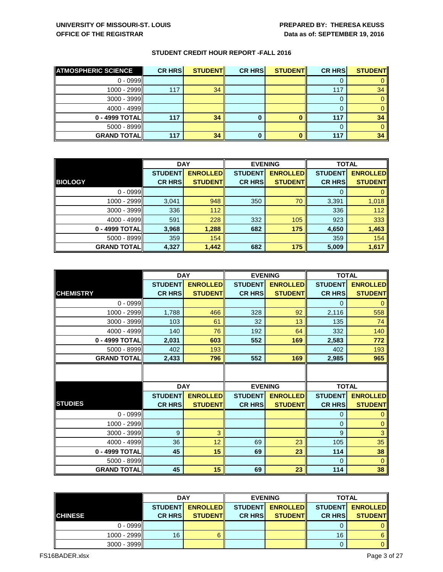| <b>ATMOSPHERIC SCIENCE</b> | <b>CR HRS</b> | <b>STUDENT</b> | <b>CR HRS</b> | <b>STUDENT</b> | <b>CR HRS</b> | <b>STUDENT</b> |
|----------------------------|---------------|----------------|---------------|----------------|---------------|----------------|
| $0 - 0999$                 |               |                |               |                |               |                |
| 1000 - 2999ll              | 117           | 34             |               |                | 117           | 34             |
| $3000 - 3999$              |               |                |               |                |               |                |
| $4000 - 4999$              |               |                |               |                |               |                |
| 0 - 4999 TOTAL             | 117           | 34             | O             |                | 117           | 34             |
| $5000 - 8999$              |               |                |               |                |               |                |
| <b>GRAND TOTAL</b>         | 117           | 34             |               |                | 117           | 34             |

|                    | <b>DAY</b>     |                 | <b>EVENING</b> |                 | <b>TOTAL</b>   |                 |
|--------------------|----------------|-----------------|----------------|-----------------|----------------|-----------------|
|                    | <b>STUDENT</b> | <b>ENROLLED</b> | <b>STUDENT</b> | <b>ENROLLED</b> | <b>STUDENT</b> | <b>ENROLLED</b> |
| <b>BIOLOGY</b>     | <b>CR HRS</b>  | <b>STUDENT</b>  | <b>CR HRS</b>  | <b>STUDENT</b>  | <b>CR HRS</b>  | <b>STUDENT</b>  |
| $0 - 0999$         |                |                 |                |                 |                |                 |
| 1000 - 2999        | 3,041          | 948             | 350            | 70              | 3,391          | 1,018           |
| $3000 - 3999$      | 336            | 112             |                |                 | 336            | 112             |
| $4000 - 4999$      | 591            | 228             | 332            | 105             | 923            | 333             |
| 0 - 4999 TOTAL     | 3,968          | 1,288           | 682            | 175             | 4,650          | 1,463           |
| $5000 - 8999$      | 359            | 154             |                |                 | 359            | 154             |
| <b>GRAND TOTAL</b> | 4,327          | 1,442           | 682            | 175             | 5,009          | 1,617           |

|                    |                | <b>DAY</b>      | <b>EVENING</b> |                 | <b>TOTAL</b>   |                 |
|--------------------|----------------|-----------------|----------------|-----------------|----------------|-----------------|
|                    | <b>STUDENT</b> | <b>ENROLLED</b> | <b>STUDENT</b> | <b>ENROLLED</b> | <b>STUDENT</b> | <b>ENROLLED</b> |
| <b>CHEMISTRY</b>   | <b>CR HRS</b>  | <b>STUDENT</b>  | <b>CR HRS</b>  | <b>STUDENT</b>  | <b>CR HRS</b>  | <b>STUDENT</b>  |
| $0 - 0999$         |                |                 |                |                 | $\Omega$       | $\Omega$        |
| 1000 - 2999        | 1,788          | 466             | 328            | 92              | 2,116          | 558             |
| 3000 - 3999        | 103            | 61              | 32             | 13              | 135            | 74              |
| 4000 - 4999        | 140            | 76              | 192            | 64              | 332            | 140             |
| 0 - 4999 TOTAL     | 2,031          | 603             | 552            | 169             | 2,583          | 772             |
| 5000 - 8999        | 402            | 193             |                |                 | 402            | 193             |
| <b>GRAND TOTAL</b> | 2,433          | 796             | 552            | 169             | 2,985          | 965             |
|                    |                |                 |                |                 |                |                 |
|                    |                | <b>DAY</b>      | <b>EVENING</b> |                 | <b>TOTAL</b>   |                 |
|                    | <b>STUDENT</b> | <b>ENROLLED</b> | <b>STUDENT</b> | <b>ENROLLED</b> | <b>STUDENT</b> | <b>ENROLLED</b> |
| <b>STUDIES</b>     | <b>CR HRS</b>  | <b>STUDENT</b>  | <b>CR HRS</b>  | <b>STUDENT</b>  | <b>CR HRS</b>  | <b>STUDENT</b>  |
| $0 - 0999$         |                |                 |                |                 | 0              | 0               |
| 1000 - 2999        |                |                 |                |                 | $\Omega$       | $\mathbf 0$     |
| 3000 - 3999        | 9              | 3               |                |                 | 9              | 3               |
| 4000 - 4999        | 36             | 12              | 69             | 23              | 105            | 35              |
| 0 - 4999 TOTAL     | 45             | 15              | 69             | 23              | 114            | 38              |
| 5000 - 8999        |                |                 |                |                 | $\Omega$       | $\Omega$        |
| <b>GRAND TOTAL</b> | 45             | 15              | 69             | 23              | 114            | 38              |

| <b>DAY</b>     |                |                 | <b>EVENING</b> | <b>TOTAL</b>    |                |                 |
|----------------|----------------|-----------------|----------------|-----------------|----------------|-----------------|
|                | <b>STUDENT</b> | <b>ENROLLED</b> | <b>STUDENT</b> | <b>ENROLLED</b> | <b>STUDENT</b> | <b>ENROLLED</b> |
| <b>CHINESE</b> | <b>CR HRS</b>  | <b>STUDENT</b>  | <b>CR HRS</b>  | <b>STUDENT</b>  | <b>CR HRSI</b> | <b>STUDENT</b>  |
| $0 - 0999$     |                |                 |                |                 |                |                 |
| 1000 - 2999    | 16             |                 |                |                 | 16             | 6               |
| $3000 - 3999$  |                |                 |                |                 |                |                 |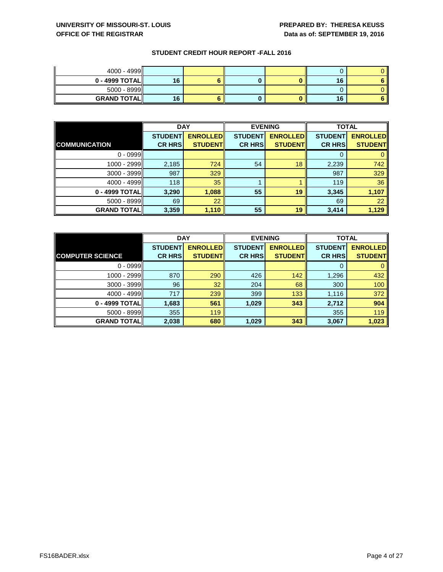| $4000 - 4999$       |    |  |    |  |
|---------------------|----|--|----|--|
| $0 - 4999$ TOTAL    | 16 |  | 16 |  |
| $5000 - 8999$       |    |  |    |  |
| <b>GRAND TOTALI</b> | 16 |  | 16 |  |

|                      | <b>DAY</b>     |                 |                | <b>EVENING</b>  |                | <b>TOTAL</b>    |  |
|----------------------|----------------|-----------------|----------------|-----------------|----------------|-----------------|--|
|                      | <b>STUDENT</b> | <b>ENROLLED</b> | <b>STUDENT</b> | <b>ENROLLED</b> | <b>STUDENT</b> | <b>ENROLLED</b> |  |
| <b>COMMUNICATION</b> | <b>CR HRS</b>  | <b>STUDENT</b>  | <b>CR HRS</b>  | <b>STUDENT</b>  | <b>CR HRS</b>  | <b>STUDENT</b>  |  |
| $0 - 0999$           |                |                 |                |                 |                |                 |  |
| 1000 - 2999          | 2,185          | 724             | 54             | 18              | 2,239          | 742             |  |
| $3000 - 3999$        | 987            | 329             |                |                 | 987            | 329             |  |
| 4000 - 4999          | 118            | 35              |                |                 | 119            | 36              |  |
| 0 - 4999 TOTAL       | 3,290          | 1,088           | 55             | 19              | 3,345          | 1,107           |  |
| $5000 - 8999$        | 69             | $\overline{22}$ |                |                 | 69             | 22              |  |
| <b>GRAND TOTAL</b>   | 3,359          | 1,110           | 55             | 19              | 3,414          | 1,129           |  |

|                         | <b>DAY</b>     |                 | <b>EVENING</b> |                 | <b>TOTAL</b>   |                 |
|-------------------------|----------------|-----------------|----------------|-----------------|----------------|-----------------|
|                         | <b>STUDENT</b> | <b>ENROLLED</b> | <b>STUDENT</b> | <b>ENROLLED</b> | <b>STUDENT</b> | <b>ENROLLED</b> |
| <b>COMPUTER SCIENCE</b> | <b>CR HRS</b>  | <b>STUDENT</b>  | <b>CR HRS</b>  | <b>STUDENT</b>  | <b>CR HRS</b>  | <b>STUDENT</b>  |
| $0 - 0999$              |                |                 |                |                 |                |                 |
| 1000 - 2999             | 870            | 290             | 426            | 142             | 1,296          | 432             |
| $3000 - 3999$           | 96             | 32              | 204            | 68              | 300            | 100             |
| 4000 - 4999             | 717            | 239             | 399            | 133             | 1,116          | 372             |
| 0 - 4999 TOTAL          | 1,683          | 561             | 1,029          | 343             | 2,712          | 904             |
| 5000 - 8999             | 355            | 119             |                |                 | 355            | 119             |
| <b>GRAND TOTAL  </b>    | 2,038          | 680             | 1,029          | 343             | 3,067          | 1,023           |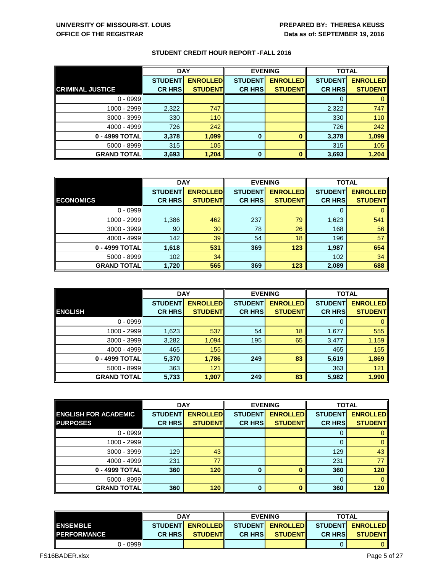|                         | <b>DAY</b>     |                 |                | <b>EVENING</b>  |                | <b>TOTAL</b>    |  |
|-------------------------|----------------|-----------------|----------------|-----------------|----------------|-----------------|--|
|                         | <b>STUDENT</b> | <b>ENROLLED</b> | <b>STUDENT</b> | <b>ENROLLED</b> | <b>STUDENT</b> | <b>ENROLLED</b> |  |
| <b>CRIMINAL JUSTICE</b> | <b>CR HRS</b>  | <b>STUDENT</b>  | <b>CR HRS</b>  | <b>STUDENT</b>  | <b>CR HRS</b>  | <b>STUDENT</b>  |  |
| $0 - 0999$              |                |                 |                |                 |                |                 |  |
| 1000 - 2999             | 2,322          | 747             |                |                 | 2,322          | 747             |  |
| $3000 - 3999$           | 330            | 110             |                |                 | 330            | 110             |  |
| 4000 - 4999             | 726            | 242             |                |                 | 726            | 242             |  |
| 0 - 4999 TOTAL          | 3,378          | 1,099           | $\bf{0}$       | 0               | 3,378          | 1,099           |  |
| 5000 - 8999             | 315            | 105             |                |                 | 315            | 105             |  |
| <b>GRAND TOTAL  </b>    | 3,693          | 1,204           | $\bf{0}$       | $\bf{0}$        | 3,693          | 1,204           |  |

|                    | <b>DAY</b>     |                 | <b>EVENING</b> |                 | <b>TOTAL</b>   |                 |
|--------------------|----------------|-----------------|----------------|-----------------|----------------|-----------------|
|                    | <b>STUDENT</b> | <b>ENROLLED</b> | <b>STUDENT</b> | <b>ENROLLED</b> | <b>STUDENT</b> | <b>ENROLLED</b> |
| <b>ECONOMICS</b>   | <b>CR HRS</b>  | <b>STUDENT</b>  | <b>CR HRS</b>  | <b>STUDENT</b>  | <b>CR HRS</b>  | <b>STUDENT</b>  |
| $0 - 0999$         |                |                 |                |                 |                |                 |
| 1000 - 2999        | 1,386          | 462             | 237            | 79              | 1,623          | 541             |
| $3000 - 3999$      | 90             | 30              | 78             | 26              | 168            | 56              |
| 4000 - 4999        | 142            | 39              | 54             | 18              | 196            | 57              |
| 0 - 4999 TOTAL     | 1,618          | 531             | 369            | 123             | 1,987          | 654             |
| $5000 - 8999$      | 102            | 34              |                |                 | 102            | 34              |
| <b>GRAND TOTAL</b> | 1,720          | 565             | 369            | 123             | 2,089          | 688             |

|                    | <b>DAY</b>     |                 |                | <b>EVENING</b>  |                | <b>TOTAL</b>    |  |
|--------------------|----------------|-----------------|----------------|-----------------|----------------|-----------------|--|
|                    | <b>STUDENT</b> | <b>ENROLLED</b> | <b>STUDENT</b> | <b>ENROLLED</b> | <b>STUDENT</b> | <b>ENROLLED</b> |  |
| <b>ENGLISH</b>     | <b>CR HRS</b>  | <b>STUDENT</b>  | <b>CR HRS</b>  | <b>STUDENT</b>  | <b>CR HRS</b>  | <b>STUDENT</b>  |  |
| $0 - 0999$         |                |                 |                |                 | 0              | 0               |  |
| 1000 - 2999        | 1,623          | 537             | 54             | 18              | 1,677          | 555             |  |
| $3000 - 3999$      | 3,282          | 1,094           | 195            | 65              | 3,477          | 1,159           |  |
| 4000 - 4999        | 465            | 155             |                |                 | 465            | 155             |  |
| 0 - 4999 TOTAL     | 5,370          | 1,786           | 249            | 83              | 5,619          | 1,869           |  |
| $5000 - 8999$      | 363            | 121             |                |                 | 363            | 121             |  |
| <b>GRAND TOTAL</b> | 5,733          | 1,907           | 249            | 83              | 5,982          | 1,990           |  |

|                             |                | <b>DAY</b><br><b>EVENING</b> |                |                 | <b>TOTAL</b>   |                 |
|-----------------------------|----------------|------------------------------|----------------|-----------------|----------------|-----------------|
| <b>ENGLISH FOR ACADEMIC</b> | <b>STUDENT</b> | <b>ENROLLED</b>              | <b>STUDENT</b> | <b>ENROLLED</b> | <b>STUDENT</b> | <b>ENROLLED</b> |
| <b>PURPOSES</b>             | <b>CR HRS</b>  | <b>STUDENT</b>               | <b>CR HRS</b>  | <b>STUDENT</b>  | <b>CR HRS</b>  | <b>STUDENT</b>  |
| $0 - 0999$                  |                |                              |                |                 |                |                 |
| 1000 - 2999                 |                |                              |                |                 |                | $\mathbf{0}$    |
| $3000 - 3999$               | 129            | 43                           |                |                 | 129            | 43              |
| 4000 - 4999                 | 231            | 77                           |                |                 | 231            | 77              |
| 0 - 4999 TOTAL              | 360            | 120                          | $\bf{0}$       |                 | 360            | 120             |
| $5000 - 8999$               |                |                              |                |                 | $\Omega$       | $\Omega$        |
| <b>GRAND TOTAL  </b>        | 360            | 120                          | $\bf{0}$       |                 | 360            | 120             |

|                     |            | <b>DAY</b>      |                  | <b>EVENING</b>  |                | <b>TOTAL</b>                     |                |
|---------------------|------------|-----------------|------------------|-----------------|----------------|----------------------------------|----------------|
| <b>IENSEMBLE</b>    |            | <b>STUDENTI</b> | <b>ENROLLEDI</b> | <b>STUDENTI</b> |                | <b>ENROLLED STUDENT ENROLLED</b> |                |
| <b>IPERFORMANCE</b> |            | <b>CR HRSI</b>  | <b>STUDENTIL</b> | <b>CR HRSI</b>  | <b>STUDENT</b> | <b>CR HRSI</b>                   | <b>STUDENT</b> |
|                     | $0 - 0999$ |                 |                  |                 |                |                                  |                |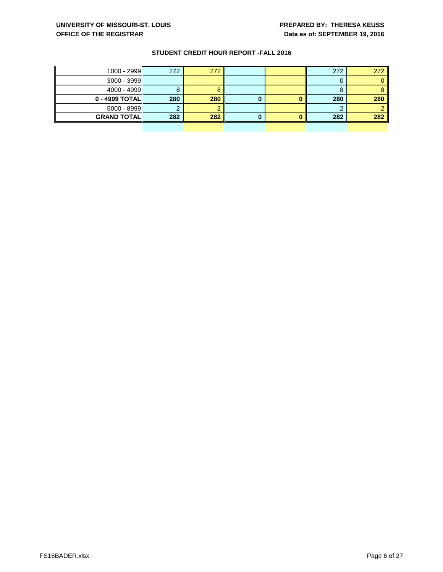| $1000 - 2999$      | 272 | 272 |  | 272 | 272 |
|--------------------|-----|-----|--|-----|-----|
| $3000 - 3999$      |     |     |  |     |     |
| $4000 - 4999$      |     |     |  |     |     |
| $0 - 4999$ TOTAL   | 280 | 280 |  | 280 | 280 |
| $5000 - 8999$      |     |     |  |     |     |
| <b>GRAND TOTAL</b> | 282 | 282 |  | 282 | 282 |
|                    |     |     |  |     |     |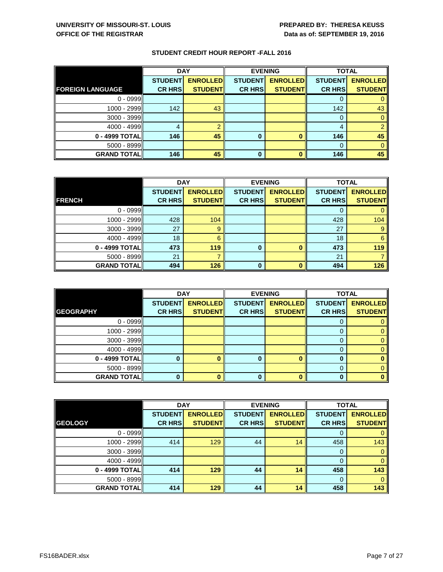|                         | <b>DAY</b>     |                 |                | <b>EVENING</b>  |                | <b>TOTAL</b>    |  |
|-------------------------|----------------|-----------------|----------------|-----------------|----------------|-----------------|--|
|                         | <b>STUDENT</b> | <b>ENROLLED</b> | <b>STUDENT</b> | <b>ENROLLED</b> | <b>STUDENT</b> | <b>ENROLLED</b> |  |
| <b>FOREIGN LANGUAGE</b> | <b>CR HRS</b>  | <b>STUDENT</b>  | <b>CR HRS</b>  | <b>STUDENT</b>  | <b>CR HRS</b>  | <b>STUDENT</b>  |  |
| $0 - 0999$              |                |                 |                |                 |                |                 |  |
| 1000 - 2999             | 142            | 43              |                |                 | 142            | 43              |  |
| $3000 - 3999$           |                |                 |                |                 |                |                 |  |
| $4000 - 4999$           | 4              |                 |                |                 | 4              |                 |  |
| 0 - 4999 TOTAL          | 146            | 45              | 0              |                 | 146            | 45              |  |
| $5000 - 8999$           |                |                 |                |                 |                |                 |  |
| <b>GRAND TOTAL</b>      | 146            | 45              | 0              |                 | 146            | 45              |  |

|                    | <b>DAY</b>     |                 |                | <b>EVENING</b>  | <b>TOTAL</b>   |                 |
|--------------------|----------------|-----------------|----------------|-----------------|----------------|-----------------|
|                    | <b>STUDENT</b> | <b>ENROLLED</b> | <b>STUDENT</b> | <b>ENROLLED</b> | <b>STUDENT</b> | <b>ENROLLED</b> |
| <b>FRENCH</b>      | <b>CR HRS</b>  | <b>STUDENT</b>  | <b>CR HRS</b>  | <b>STUDENT</b>  | <b>CR HRS</b>  | <b>STUDENT</b>  |
| $0 - 0999$         |                |                 |                |                 | O              |                 |
| 1000 - 2999        | 428            | 104             |                |                 | 428            | 104             |
| $3000 - 3999$      | 27             | 9               |                |                 | 27             | 9               |
| 4000 - 4999        | 18             | 6               |                |                 | 18             | 6               |
| 0 - 4999 TOTAL     | 473            | 119             | $\bf{0}$       | o               | 473            | 119             |
| $5000 - 8999$      | 21             |                 |                |                 | 21             |                 |
| <b>GRAND TOTAL</b> | 494            | 126             | $\Omega$       | n               | 494            | 126             |

|                    | <b>DAY</b>     |                 | <b>EVENING</b> |                 | <b>TOTAL</b>   |                 |
|--------------------|----------------|-----------------|----------------|-----------------|----------------|-----------------|
|                    | <b>STUDENT</b> | <b>ENROLLED</b> | <b>STUDENT</b> | <b>ENROLLED</b> | <b>STUDENT</b> | <b>ENROLLED</b> |
| <b>GEOGRAPHY</b>   | <b>CR HRS</b>  | <b>STUDENT</b>  | <b>CR HRS</b>  | <b>STUDENT</b>  | <b>CR HRS</b>  | <b>STUDENT</b>  |
| $0 - 0999$         |                |                 |                |                 |                |                 |
| 1000 - 2999        |                |                 |                |                 |                |                 |
| $3000 - 3999$      |                |                 |                |                 | $\Omega$       |                 |
| 4000 - 4999        |                |                 |                |                 | 0              |                 |
| 0 - 4999 TOTAL     |                | 0               | $\bf{0}$       |                 |                |                 |
| $5000 - 8999$      |                |                 |                |                 | 0              |                 |
| <b>GRAND TOTAL</b> |                | 0               | 0              |                 |                |                 |

|                    | <b>DAY</b>     |                 |                | <b>EVENING</b>  | <b>TOTAL</b>   |                 |
|--------------------|----------------|-----------------|----------------|-----------------|----------------|-----------------|
|                    | <b>STUDENT</b> | <b>ENROLLED</b> | <b>STUDENT</b> | <b>ENROLLED</b> | <b>STUDENT</b> | <b>ENROLLED</b> |
| <b>GEOLOGY</b>     | <b>CR HRS</b>  | <b>STUDENT</b>  | <b>CR HRS</b>  | <b>STUDENT</b>  | <b>CR HRS</b>  | <b>STUDENT</b>  |
| $0 - 0999$         |                |                 |                |                 | 0              |                 |
| 1000 - 2999        | 414            | 129             | 44             | 14              | 458            | 143             |
| $3000 - 3999$      |                |                 |                |                 | 0              | 0               |
| 4000 - 4999        |                |                 |                |                 | 0              |                 |
| 0 - 4999 TOTAL     | 414            | 129             | 44             | 14              | 458            | 143             |
| $5000 - 8999$      |                |                 |                |                 | 0              | $\Omega$        |
| <b>GRAND TOTAL</b> | 414            | 129             | 44             | 14              | 458            | 143             |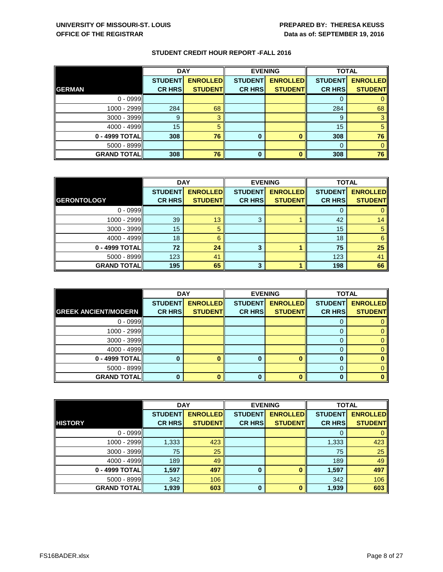|                    | <b>DAY</b>     |                 |                | <b>EVENING</b>  | <b>TOTAL</b>   |                 |
|--------------------|----------------|-----------------|----------------|-----------------|----------------|-----------------|
|                    | <b>STUDENT</b> | <b>ENROLLED</b> | <b>STUDENT</b> | <b>ENROLLED</b> | <b>STUDENT</b> | <b>ENROLLED</b> |
| <b>GERMAN</b>      | <b>CR HRS</b>  | <b>STUDENT</b>  | <b>CR HRS</b>  | <b>STUDENT</b>  | <b>CR HRS</b>  | <b>STUDENT</b>  |
| $0 - 0999$         |                |                 |                |                 | U              |                 |
| 1000 - 2999        | 284            | 68              |                |                 | 284            | 68              |
| $3000 - 3999$      |                |                 |                |                 | 9              |                 |
| 4000 - 4999        | 15             | 5               |                |                 | 15             |                 |
| 0 - 4999 TOTAL     | 308            | 76              | 0              |                 | 308            | 76              |
| $5000 - 8999$      |                |                 |                |                 | 0              |                 |
| <b>GRAND TOTAL</b> | 308            | 76              | 0              |                 | 308            | 76              |

|                      | <b>DAY</b>     |                 | <b>EVENING</b> |                 | <b>TOTAL</b>   |                 |
|----------------------|----------------|-----------------|----------------|-----------------|----------------|-----------------|
|                      | <b>STUDENT</b> | <b>ENROLLED</b> | <b>STUDENT</b> | <b>ENROLLED</b> | <b>STUDENT</b> | <b>ENROLLED</b> |
| <b>GERONTOLOGY</b>   | <b>CR HRS</b>  | <b>STUDENT</b>  | <b>CR HRS</b>  | <b>STUDENT</b>  | <b>CR HRS</b>  | <b>STUDENT</b>  |
| $0 - 0999$           |                |                 |                |                 |                |                 |
| 1000 - 2999          | 39             | 13              | 3              |                 | 42             | 14              |
| $3000 - 3999$        | 15             |                 |                |                 | 15             |                 |
| 4000 - 4999          | 18             | 6               |                |                 | 18             | 6               |
| 0 - 4999 TOTAL       | 72             | 24              | 3              |                 | 75             | 25              |
| $5000 - 8999$        | 123            | 41              |                |                 | 123            | 41              |
| <b>GRAND TOTAL  </b> | 195            | 65              | 3              |                 | 198            | 66              |

|                             | <b>DAY</b>     |                 | <b>EVENING</b> |                 | <b>TOTAL</b>   |                 |
|-----------------------------|----------------|-----------------|----------------|-----------------|----------------|-----------------|
|                             | <b>STUDENT</b> | <b>ENROLLED</b> | <b>STUDENT</b> | <b>ENROLLED</b> | <b>STUDENT</b> | <b>ENROLLED</b> |
| <b>GREEK ANCIENT/MODERN</b> | <b>CR HRS</b>  | <b>STUDENT</b>  | <b>CR HRS</b>  | <b>STUDENT</b>  | <b>CR HRS</b>  | <b>STUDENT</b>  |
| $0 - 0999$                  |                |                 |                |                 |                |                 |
| 1000 - 2999                 |                |                 |                |                 |                | 0               |
| $3000 - 3999$               |                |                 |                |                 | $\Gamma$       | 0               |
| $4000 - 4999$               |                |                 |                |                 | 0              | 0               |
| 0 - 4999 TOTAL              |                | o               | 0              |                 | 0              |                 |
| $5000 - 8999$               |                |                 |                |                 |                | 0               |
| <b>GRAND TOTAL</b>          | 0              |                 | 0              |                 | 0              |                 |

|                      | <b>DAY</b>     |                 | <b>EVENING</b> |                 | <b>TOTAL</b>   |                 |
|----------------------|----------------|-----------------|----------------|-----------------|----------------|-----------------|
|                      | <b>STUDENT</b> | <b>ENROLLED</b> | <b>STUDENT</b> | <b>ENROLLED</b> | <b>STUDENT</b> | <b>ENROLLED</b> |
| <b>HISTORY</b>       | <b>CR HRS</b>  | <b>STUDENT</b>  | <b>CR HRS</b>  | <b>STUDENT</b>  | <b>CR HRS</b>  | <b>STUDENT</b>  |
| $0 - 0999$           |                |                 |                |                 | 0              |                 |
| 1000 - 2999          | 1,333          | 423             |                |                 | 1,333          | 423             |
| $3000 - 3999$        | 75             | 25              |                |                 | 75             | 25              |
| 4000 - 4999          | 189            | 49              |                |                 | 189            | 49              |
| 0 - 4999 TOTAL       | 1,597          | 497             | $\bf{0}$       |                 | 1,597          | 497             |
| $5000 - 8999$        | 342            | 106             |                |                 | 342            | 106             |
| <b>GRAND TOTAL  </b> | 1,939          | 603             | $\bf{0}$       |                 | 1,939          | 603             |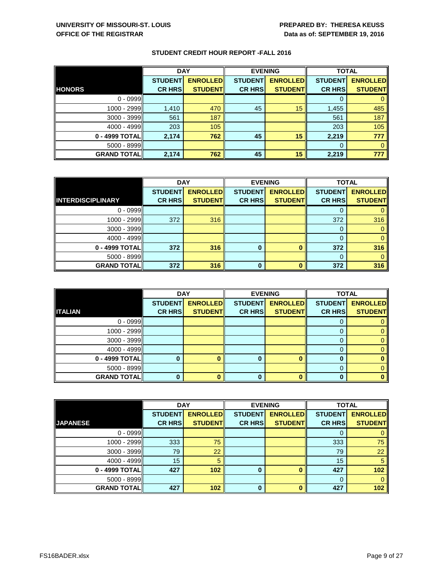|                    | <b>DAY</b>     |                 |                | <b>EVENING</b>  | <b>TOTAL</b>   |                 |
|--------------------|----------------|-----------------|----------------|-----------------|----------------|-----------------|
|                    | <b>STUDENT</b> | <b>ENROLLED</b> | <b>STUDENT</b> | <b>ENROLLED</b> | <b>STUDENT</b> | <b>ENROLLED</b> |
| <b>HONORS</b>      | <b>CR HRS</b>  | <b>STUDENT</b>  | <b>CR HRS</b>  | <b>STUDENT</b>  | <b>CR HRS</b>  | <b>STUDENT</b>  |
| $0 - 0999$         |                |                 |                |                 |                |                 |
| 1000 - 2999        | 1,410          | 470             | 45             | 15              | 1,455          | 485             |
| $3000 - 3999$      | 561            | 187             |                |                 | 561            | 187             |
| $4000 - 4999$      | 203            | 105             |                |                 | 203            | 105             |
| 0 - 4999 TOTAL     | 2,174          | 762             | 45             | 15              | 2,219          | 777             |
| 5000 - 8999        |                |                 |                |                 | 0              |                 |
| <b>GRAND TOTAL</b> | 2,174          | 762             | 45             | 15              | 2,219          | 777             |

|                          | <b>DAY</b>     |                 | <b>EVENING</b> |                 | <b>TOTAL</b>   |                 |
|--------------------------|----------------|-----------------|----------------|-----------------|----------------|-----------------|
|                          | <b>STUDENT</b> | <b>ENROLLED</b> | <b>STUDENT</b> | <b>ENROLLED</b> | <b>STUDENT</b> | <b>ENROLLED</b> |
| <b>INTERDISCIPLINARY</b> | <b>CR HRS</b>  | <b>STUDENT</b>  | <b>CR HRS</b>  | <b>STUDENT</b>  | <b>CR HRS</b>  | <b>STUDENT</b>  |
| $0 - 0999$               |                |                 |                |                 | O              |                 |
| 1000 - 2999              | 372            | 316             |                |                 | 372            | 316             |
| $3000 - 3999$            |                |                 |                |                 | 0              |                 |
| 4000 - 4999              |                |                 |                |                 | 0              |                 |
| 0 - 4999 TOTAL           | 372            | 316             | 0              |                 | 372            | 316             |
| $5000 - 8999$            |                |                 |                |                 | $\Omega$       |                 |
| <b>GRAND TOTAL</b>       | 372            | 316             | 0              |                 | 372            | 316             |

|                    | <b>DAY</b>     |                 |                | <b>EVENING</b>  | <b>TOTAL</b>   |                 |
|--------------------|----------------|-----------------|----------------|-----------------|----------------|-----------------|
|                    | <b>STUDENT</b> | <b>ENROLLED</b> | <b>STUDENT</b> | <b>ENROLLED</b> | <b>STUDENT</b> | <b>ENROLLED</b> |
| <b>ITALIAN</b>     | <b>CR HRS</b>  | <b>STUDENT</b>  | <b>CR HRS</b>  | <b>STUDENT</b>  | <b>CR HRS</b>  | <b>STUDENT</b>  |
| $0 - 0999$         |                |                 |                |                 |                |                 |
| 1000 - 2999        |                |                 |                |                 | 0              |                 |
| $3000 - 3999$      |                |                 |                |                 | 0              |                 |
| $4000 - 4999$      |                |                 |                |                 | 0              |                 |
| 0 - 4999 TOTAL     |                | 0               | $\bf{0}$       |                 |                |                 |
| $5000 - 8999$      |                |                 |                |                 | 0              |                 |
| <b>GRAND TOTAL</b> |                | 0               | $\bf{0}$       |                 |                |                 |

|                      | <b>DAY</b>     |                 |                | <b>EVENING</b>  | <b>TOTAL</b>   |                 |
|----------------------|----------------|-----------------|----------------|-----------------|----------------|-----------------|
|                      | <b>STUDENT</b> | <b>ENROLLED</b> | <b>STUDENT</b> | <b>ENROLLED</b> | <b>STUDENT</b> | <b>ENROLLED</b> |
| <b>JAPANESE</b>      | <b>CR HRS</b>  | <b>STUDENT</b>  | <b>CR HRS</b>  | <b>STUDENT</b>  | <b>CR HRS</b>  | <b>STUDENT</b>  |
| $0 - 0999$           |                |                 |                |                 | 0              |                 |
| 1000 - 2999          | 333            | 75              |                |                 | 333            | 75              |
| $3000 - 3999$        | 79             | 22              |                |                 | 79             | 22              |
| 4000 - 4999          | 15             | 5               |                |                 | 15             | 5               |
| 0 - 4999 TOTAL       | 427            | 102             | 0              |                 | 427            | 102             |
| $5000 - 8999$        |                |                 |                |                 | 0              | $\Omega$        |
| <b>GRAND TOTAL  </b> | 427            | 102             | $\bf{0}$       |                 | 427            | 102             |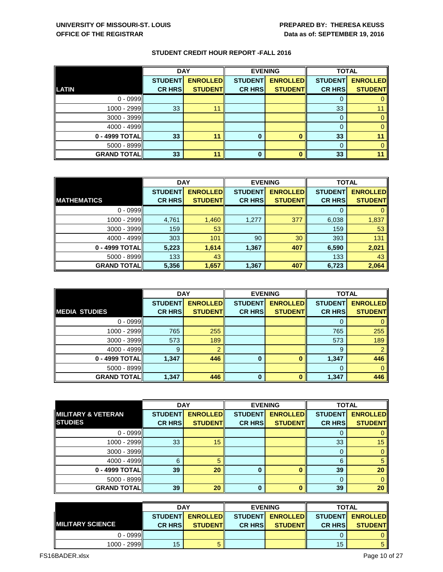|                    | <b>DAY</b>     |                 |                | <b>EVENING</b>  | <b>TOTAL</b>   |                 |
|--------------------|----------------|-----------------|----------------|-----------------|----------------|-----------------|
|                    | <b>STUDENT</b> | <b>ENROLLED</b> | <b>STUDENT</b> | <b>ENROLLED</b> | <b>STUDENT</b> | <b>ENROLLED</b> |
| <b>LATIN</b>       | <b>CR HRS</b>  | <b>STUDENT</b>  | <b>CR HRS</b>  | <b>STUDENT</b>  | <b>CR HRS</b>  | <b>STUDENT</b>  |
| $0 - 0999$         |                |                 |                |                 | υ              |                 |
| 1000 - 2999        | 33             | 11              |                |                 | 33             |                 |
| $3000 - 3999$      |                |                 |                |                 | 0              |                 |
| 4000 - 4999        |                |                 |                |                 | O              |                 |
| 0 - 4999 TOTAL     | 33             | 11              |                |                 | 33             |                 |
| $5000 - 8999$      |                |                 |                |                 | $\Omega$       |                 |
| <b>GRAND TOTAL</b> | 33             | 11              | 0              |                 | 33             |                 |

|                      | <b>DAY</b>     |                 |                | <b>EVENING</b>  | <b>TOTAL</b>   |                 |
|----------------------|----------------|-----------------|----------------|-----------------|----------------|-----------------|
|                      | <b>STUDENT</b> | <b>ENROLLED</b> | <b>STUDENT</b> | <b>ENROLLED</b> | <b>STUDENT</b> | <b>ENROLLED</b> |
| <b>MATHEMATICS</b>   | <b>CR HRS</b>  | <b>STUDENT</b>  | <b>CR HRS</b>  | <b>STUDENT</b>  | <b>CR HRS</b>  | <b>STUDENT</b>  |
| $0 - 0999$           |                |                 |                |                 |                |                 |
| 1000 - 2999          | 4,761          | 1,460           | 1,277          | 377             | 6,038          | 1,837           |
| $3000 - 3999$        | 159            | 53              |                |                 | 159            | 53              |
| 4000 - 4999          | 303            | 101             | 90             | 30              | 393            | 131             |
| 0 - 4999 TOTAL       | 5,223          | 1,614           | 1,367          | 407             | 6,590          | 2,021           |
| $5000 - 8999$        | 133            | 43              |                |                 | 133            | 43              |
| <b>GRAND TOTAL  </b> | 5,356          | 1,657           | 1,367          | 407             | 6,723          | 2,064           |

|                      | <b>DAY</b>     |                 |                | <b>EVENING</b>  | <b>TOTAL</b>   |                 |
|----------------------|----------------|-----------------|----------------|-----------------|----------------|-----------------|
|                      | <b>STUDENT</b> | <b>ENROLLED</b> | <b>STUDENT</b> | <b>ENROLLED</b> | <b>STUDENT</b> | <b>ENROLLED</b> |
| <b>MEDIA STUDIES</b> | <b>CR HRS</b>  | <b>STUDENT</b>  | <b>CR HRS</b>  | <b>STUDENT</b>  | <b>CR HRS</b>  | <b>STUDENT</b>  |
| $0 - 0999$           |                |                 |                |                 | 0              |                 |
| 1000 - 2999          | 765            | 255             |                |                 | 765            | 255             |
| $3000 - 3999$        | 573            | 189             |                |                 | 573            | 189             |
| 4000 - 4999          | 9              | റ               |                |                 | 9              |                 |
| 0 - 4999 TOTAL       | 1,347          | 446             | $\bf{0}$       | ŋ               | 1,347          | 446             |
| $5000 - 8999$        |                |                 |                |                 | $\Omega$       | $\Omega$        |
| <b>GRAND TOTAL</b>   | 1,347          | 446             | 0              | ŋ               | 1,347          | 446             |

|                               | <b>DAY</b>     |                 |                | <b>EVENING</b>  | <b>TOTAL</b>   |                 |
|-------------------------------|----------------|-----------------|----------------|-----------------|----------------|-----------------|
| <b>MILITARY &amp; VETERAN</b> | <b>STUDENT</b> | <b>ENROLLED</b> | <b>STUDENT</b> | <b>ENROLLED</b> | <b>STUDENT</b> | <b>ENROLLED</b> |
| <b>STUDIES</b>                | <b>CR HRS</b>  | <b>STUDENT</b>  | <b>CR HRS</b>  | <b>STUDENT</b>  | <b>CR HRS</b>  | <b>STUDENT</b>  |
| $0 - 0999$                    |                |                 |                |                 |                | $\mathbf{0}$    |
| 1000 - 2999                   | 33             | 15              |                |                 | 33             | 15              |
| $3000 - 3999$                 |                |                 |                |                 | 0              | $\mathbf{0}$    |
| 4000 - 4999                   | 6              | 5               |                |                 | 6              | $\sqrt{5}$      |
| 0 - 4999 TOTAL                | 39             | 20              | 0              |                 | 39             | 20              |
| $5000 - 8999$                 |                |                 |                |                 | 0              | $\overline{0}$  |
| <b>GRAND TOTAL</b>            | 39             | <b>20</b>       | $\bf{0}$       |                 | 39             | 20              |

|                          | <b>DAY</b>     |                           |                | <b>EVENING</b>   | <b>TOTAL</b>   |                  |
|--------------------------|----------------|---------------------------|----------------|------------------|----------------|------------------|
|                          |                | <b>STUDENTI ENROLLEDI</b> |                | STUDENT ENROLLED |                | STUDENT ENROLLED |
| <b>IMILITARY SCIENCE</b> | <b>CR HRSI</b> | <b>STUDENTI</b>           | <b>CR HRSI</b> | <b>STUDENTI</b>  | <b>CR HRSI</b> | <b>STUDENT</b>   |
| 0 - 0999ll               |                |                           |                |                  |                |                  |
| 1000 - 2999              | 15             |                           |                |                  | 15             |                  |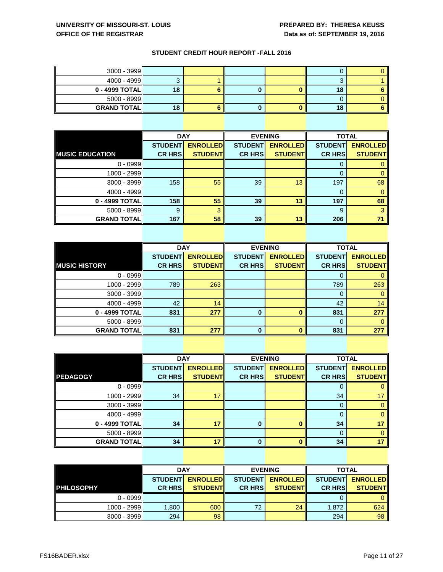| $3000 - 3999$      |    |  |    |  |
|--------------------|----|--|----|--|
| 4000 - 4999 $\ $   |    |  | u  |  |
| $0 - 4999$ TOTAL   | 18 |  | 18 |  |
| $5000 - 8999$      |    |  |    |  |
| <b>GRAND TOTAL</b> | 18 |  | 18 |  |

|                        | <b>DAY</b>     |                 |                | <b>EVENING</b>  | <b>TOTAL</b>   |                 |
|------------------------|----------------|-----------------|----------------|-----------------|----------------|-----------------|
|                        | <b>STUDENT</b> | <b>ENROLLED</b> | <b>STUDENT</b> | <b>ENROLLED</b> | <b>STUDENT</b> | <b>ENROLLED</b> |
| <b>MUSIC EDUCATION</b> | <b>CR HRS</b>  | <b>STUDENT</b>  | <b>CR HRS</b>  | <b>STUDENT</b>  | <b>CR HRS</b>  | <b>STUDENT</b>  |
| $0 - 0999$             |                |                 |                |                 |                |                 |
| 1000 - 2999            |                |                 |                |                 |                |                 |
| 3000 - 3999            | 158            | 55              | 39             | 13              | 197            | 68              |
| 4000 - 4999            |                |                 |                |                 |                |                 |
| 0 - 4999 TOTAL         | 158            | 55              | 39             | 13              | 197            | 68              |
| $5000 - 8999$          | 9              | 3               |                |                 | 9              |                 |
| <b>GRAND TOTAL</b>     | 167            | 58              | 39             | 13              | 206            |                 |

|                      | <b>DAY</b>     |                 | <b>EVENING</b> |                 | <b>TOTAL</b>   |                 |
|----------------------|----------------|-----------------|----------------|-----------------|----------------|-----------------|
|                      | <b>STUDENT</b> | <b>ENROLLED</b> | <b>STUDENT</b> | <b>ENROLLED</b> | <b>STUDENT</b> | <b>ENROLLED</b> |
| <b>MUSIC HISTORY</b> | <b>CR HRS</b>  | <b>STUDENT</b>  | <b>CR HRS</b>  | <b>STUDENT</b>  | <b>CR HRS</b>  | <b>STUDENT</b>  |
| $0 - 0999$           |                |                 |                |                 |                |                 |
| 1000 - 2999          | 789            | 263             |                |                 | 789            | 263             |
| $3000 - 3999$        |                |                 |                |                 | 0              |                 |
| 4000 - 4999          | 42             | 14              |                |                 | 42             | 14              |
| 0 - 4999 TOTAL       | 831            | 277             | 0              |                 | 831            | 277             |
| $5000 - 8999$        |                |                 |                |                 | $\Omega$       |                 |
| <b>GRAND TOTALI</b>  | 831            | 277             | 0              |                 | 831            | 277             |

|                     | <b>DAY</b>     |                 |                | <b>EVENING</b>  |                | <b>TOTAL</b>    |  |
|---------------------|----------------|-----------------|----------------|-----------------|----------------|-----------------|--|
|                     | <b>STUDENT</b> | <b>ENROLLED</b> | <b>STUDENT</b> | <b>ENROLLED</b> | <b>STUDENT</b> | <b>ENROLLED</b> |  |
| <b>PEDAGOGY</b>     | <b>CR HRS</b>  | <b>STUDENT</b>  | <b>CR HRS</b>  | <b>STUDENT</b>  | <b>CR HRS</b>  | <b>STUDENT</b>  |  |
| $0 - 0999$          |                |                 |                |                 | O              |                 |  |
| 1000 - 2999         | 34             | 17              |                |                 | 34             | 17              |  |
| $3000 - 3999$       |                |                 |                |                 | 0              |                 |  |
| 4000 - 4999         |                |                 |                |                 |                |                 |  |
| 0 - 4999 TOTAL      | 34             | 17              | 0              |                 | 34             |                 |  |
| $5000 - 8999$       |                |                 |                |                 | 0              |                 |  |
| <b>GRAND TOTALI</b> | 34             | 17              | 0              |                 | 34             |                 |  |

| <b>DAY</b>        |                | <b>EVENING</b>  |                | <b>TOTAL</b>    |                |                 |
|-------------------|----------------|-----------------|----------------|-----------------|----------------|-----------------|
|                   | <b>STUDENT</b> | <b>ENROLLED</b> | <b>STUDENT</b> | <b>ENROLLED</b> | <b>STUDENT</b> | <b>ENROLLED</b> |
| <b>PHILOSOPHY</b> | <b>CR HRS</b>  | <b>STUDENT</b>  | <b>CR HRS</b>  | <b>STUDENTI</b> | <b>CR HRS</b>  | <b>STUDENT</b>  |
| $0 - 0999$        |                |                 |                |                 |                |                 |
| 1000 - 2999       | 1,800          | 600             | 72             | 24              | 1,872          | 624             |
| $3000 - 3999$     | 294            | 98              |                |                 | 294            | 98              |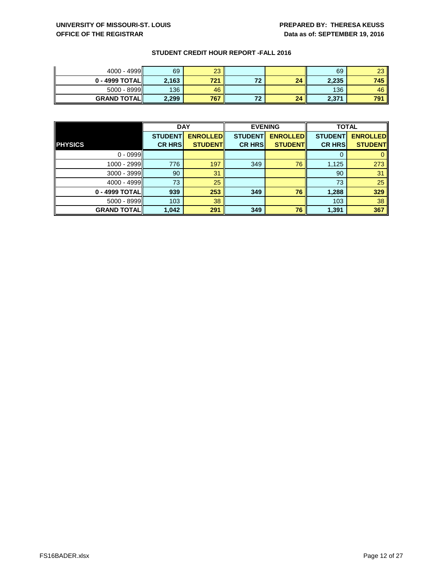| $4000 - 4999$       | 69    | ററ<br>ے |    |    | 69    | $\sim$<br>w |
|---------------------|-------|---------|----|----|-------|-------------|
| $0 - 4999$ TOTAL    | 2,163 | 704     | フつ | 24 | 2,235 | 745         |
| $5000 - 8999$       | 136   | 46      |    |    | 136   | 46 I        |
| <b>GRAND TOTALI</b> | 2,299 | 767     | 70 | 24 | 2,371 | 791         |

|                    | <b>DAY</b>     |                 | <b>EVENING</b> |                 | <b>TOTAL</b>   |                 |
|--------------------|----------------|-----------------|----------------|-----------------|----------------|-----------------|
|                    | <b>STUDENT</b> | <b>ENROLLED</b> | <b>STUDENT</b> | <b>ENROLLED</b> | <b>STUDENT</b> | <b>ENROLLED</b> |
| <b>PHYSICS</b>     | <b>CR HRS</b>  | <b>STUDENT</b>  | <b>CR HRS</b>  | <b>STUDENT</b>  | <b>CR HRS</b>  | <b>STUDENT</b>  |
| $0 - 0999$         |                |                 |                |                 |                |                 |
| 1000 - 2999        | 776            | 197             | 349            | 76              | 1,125          | 273             |
| $3000 - 3999$      | 90             | 31              |                |                 | 90             | 31              |
| 4000 - 4999        | 73             | 25              |                |                 | 73             | 25              |
| 0 - 4999 TOTAL     | 939            | 253             | 349            | 76              | 1,288          | 329             |
| $5000 - 8999$      | 103            | 38              |                |                 | 103            | 38              |
| <b>GRAND TOTAL</b> | 1,042          | 291             | 349            | 76              | 1,391          | 367             |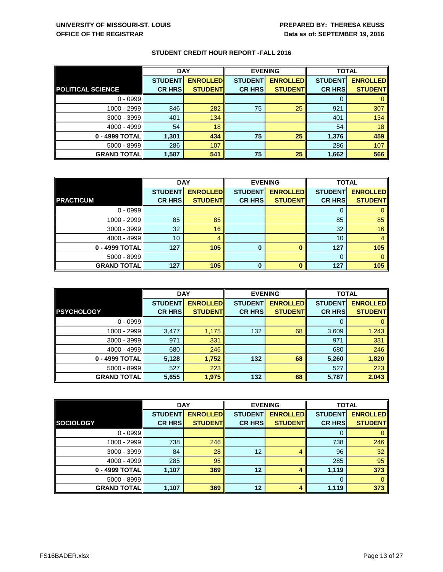|                          | <b>DAY</b>     |                 |                | <b>EVENING</b>  | <b>TOTAL</b>   |                 |
|--------------------------|----------------|-----------------|----------------|-----------------|----------------|-----------------|
|                          | <b>STUDENT</b> | <b>ENROLLED</b> | <b>STUDENT</b> | <b>ENROLLED</b> | <b>STUDENT</b> | <b>ENROLLED</b> |
| <b>POLITICAL SCIENCE</b> | <b>CR HRS</b>  | <b>STUDENT</b>  | <b>CR HRS</b>  | <b>STUDENT</b>  | <b>CR HRS</b>  | <b>STUDENT</b>  |
| $0 - 0999$               |                |                 |                |                 | 0              |                 |
| 1000 - 2999              | 846            | 282             | 75             | 25              | 921            | 307             |
| $3000 - 3999$            | 401            | 134             |                |                 | 401            | 134             |
| 4000 - 4999              | 54             | 18              |                |                 | 54             | 18              |
| 0 - 4999 TOTAL           | 1,301          | 434             | 75             | 25              | 1,376          | 459             |
| $5000 - 8999$            | 286            | 107             |                |                 | 286            | 107             |
| <b>GRAND TOTAL</b>       | 1,587          | 541             | 75             | 25              | 1,662          | 566             |

|                    | <b>DAY</b>     |                 |                | <b>EVENING</b>  | <b>TOTAL</b>   |                 |
|--------------------|----------------|-----------------|----------------|-----------------|----------------|-----------------|
|                    | <b>STUDENT</b> | <b>ENROLLED</b> | <b>STUDENT</b> | <b>ENROLLED</b> | <b>STUDENT</b> | <b>ENROLLED</b> |
| <b>PRACTICUM</b>   | <b>CR HRS</b>  | <b>STUDENT</b>  | <b>CR HRS</b>  | <b>STUDENT</b>  | <b>CR HRS</b>  | <b>STUDENT</b>  |
| $0 - 0999$         |                |                 |                |                 |                |                 |
| 1000 - 2999        | 85             | 85              |                |                 | 85             | 85              |
| $3000 - 3999$      | 32             | 16              |                |                 | 32             | 16              |
| 4000 - 4999        | 10             | 4               |                |                 | 10             |                 |
| 0 - 4999 TOTAL     | 127            | 105             | $\bf{0}$       |                 | 127            | 105             |
| $5000 - 8999$      |                |                 |                |                 | 0              |                 |
| <b>GRAND TOTAL</b> | 127            | 105             | $\bf{0}$       |                 | 127            | 105             |

|                    | <b>DAY</b>     |                 |                | <b>EVENING</b>  | <b>TOTAL</b>   |                 |
|--------------------|----------------|-----------------|----------------|-----------------|----------------|-----------------|
|                    | <b>STUDENT</b> | <b>ENROLLED</b> | <b>STUDENT</b> | <b>ENROLLED</b> | <b>STUDENT</b> | <b>ENROLLED</b> |
| <b>PSYCHOLOGY</b>  | <b>CR HRS</b>  | <b>STUDENT</b>  | <b>CR HRS</b>  | <b>STUDENT</b>  | <b>CR HRS</b>  | <b>STUDENT</b>  |
| $0 - 0999$         |                |                 |                |                 |                |                 |
| 1000 - 2999        | 3,477          | 1,175           | 132            | 68              | 3,609          | 1,243           |
| $3000 - 3999$      | 971            | 331             |                |                 | 971            | 331             |
| $4000 - 4999$      | 680            | 246             |                |                 | 680            | 246             |
| 0 - 4999 TOTAL     | 5,128          | 1,752           | 132            | 68              | 5,260          | 1,820           |
| $5000 - 8999$      | 527            | 223             |                |                 | 527            | 223             |
| <b>GRAND TOTAL</b> | 5,655          | 1,975           | 132            | 68              | 5,787          | 2,043           |

|                      | <b>DAY</b>     |                 |                | <b>EVENING</b>  | <b>TOTAL</b>   |                 |
|----------------------|----------------|-----------------|----------------|-----------------|----------------|-----------------|
|                      | <b>STUDENT</b> | <b>ENROLLED</b> | <b>STUDENT</b> | <b>ENROLLED</b> | <b>STUDENT</b> | <b>ENROLLED</b> |
| <b>SOCIOLOGY</b>     | <b>CR HRS</b>  | <b>STUDENT</b>  | <b>CR HRS</b>  | <b>STUDENT</b>  | <b>CR HRS</b>  | <b>STUDENT</b>  |
| $0 - 0999$           |                |                 |                |                 | 0              | 0               |
| 1000 - 2999          | 738            | 246             |                |                 | 738            | 246             |
| $3000 - 3999$        | 84             | 28              | 12             | 4               | 96             | 32              |
| 4000 - 4999          | 285            | 95              |                |                 | 285            | 95              |
| 0 - 4999 TOTAL       | 1,107          | 369             | 12             | 4               | 1,119          | 373             |
| $5000 - 8999$        |                |                 |                |                 | 0              | $\mathbf{0}$    |
| <b>GRAND TOTAL  </b> | 1,107          | 369             | 12             | 4               | 1,119          | 373             |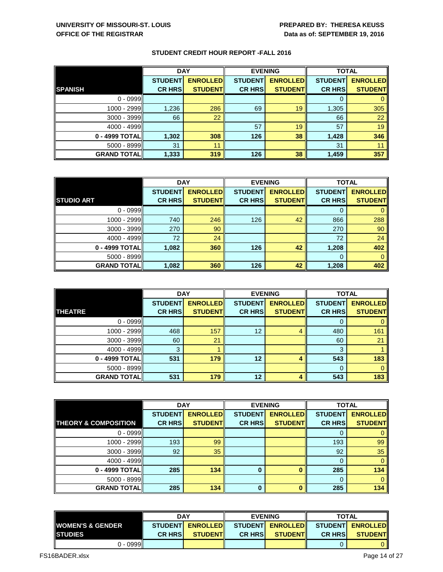|                      | <b>DAY</b>     |                 |                | <b>EVENING</b>  | <b>TOTAL</b>   |                 |
|----------------------|----------------|-----------------|----------------|-----------------|----------------|-----------------|
|                      | <b>STUDENT</b> | <b>ENROLLED</b> | <b>STUDENT</b> | <b>ENROLLED</b> | <b>STUDENT</b> | <b>ENROLLED</b> |
| <b>SPANISH</b>       | <b>CR HRS</b>  | <b>STUDENT</b>  | <b>CR HRS</b>  | <b>STUDENT</b>  | <b>CR HRS</b>  | <b>STUDENT</b>  |
| $0 - 0999$           |                |                 |                |                 |                |                 |
| 1000 - 2999          | 1,236          | 286             | 69             | 19              | 1,305          | 305             |
| $3000 - 3999$        | 66             | 22              |                |                 | 66             | 22              |
| $4000 - 4999$        |                |                 | 57             | 19              | 57             | 19              |
| 0 - 4999 TOTAL       | 1,302          | 308             | 126            | 38              | 1,428          | 346             |
| $5000 - 8999$        | 31             | 11              |                |                 | 31             |                 |
| <b>GRAND TOTAL  </b> | 1,333          | 319             | 126            | 38              | 1,459          | 357             |

|                    | <b>DAY</b>     |                 | <b>EVENING</b> |                 | <b>TOTAL</b>   |                 |
|--------------------|----------------|-----------------|----------------|-----------------|----------------|-----------------|
|                    | <b>STUDENT</b> | <b>ENROLLED</b> | <b>STUDENT</b> | <b>ENROLLED</b> | <b>STUDENT</b> | <b>ENROLLED</b> |
| <b>STUDIO ART</b>  | <b>CR HRS</b>  | <b>STUDENT</b>  | <b>CR HRS</b>  | <b>STUDENT</b>  | <b>CR HRS</b>  | <b>STUDENT</b>  |
| $0 - 0999$         |                |                 |                |                 | 0              |                 |
| 1000 - 2999        | 740            | 246             | 126            | 42              | 866            | 288             |
| $3000 - 3999$      | 270            | 90              |                |                 | 270            | 90              |
| $4000 - 4999$      | 72             | 24              |                |                 | 72             | 24              |
| 0 - 4999 TOTAL     | 1,082          | 360             | 126            | 42              | 1,208          | 402             |
| $5000 - 8999$      |                |                 |                |                 | 0              |                 |
| <b>GRAND TOTAL</b> | 1,082          | 360             | 126            | 42              | 1,208          | 402             |

|                      | <b>DAY</b>     |                 |                | <b>EVENING</b>  | <b>TOTAL</b>   |                 |
|----------------------|----------------|-----------------|----------------|-----------------|----------------|-----------------|
|                      | <b>STUDENT</b> | <b>ENROLLED</b> | <b>STUDENT</b> | <b>ENROLLED</b> | <b>STUDENT</b> | <b>ENROLLED</b> |
| <b>THEATRE</b>       | <b>CR HRS</b>  | <b>STUDENT</b>  | <b>CR HRS</b>  | <b>STUDENT</b>  | <b>CR HRS</b>  | <b>STUDENT</b>  |
| $0 - 0999$           |                |                 |                |                 | 0              |                 |
| 1000 - 2999          | 468            | 157             | 12             | 4               | 480            | 161             |
| $3000 - 3999$        | 60             | 21              |                |                 | 60             | 21              |
| 4000 - 4999          | 3              |                 |                |                 | 3              |                 |
| 0 - 4999 TOTAL       | 531            | 179             | 12             |                 | 543            | 183             |
| $5000 - 8999$        |                |                 |                |                 | $\Omega$       | 0               |
| <b>GRAND TOTAL  </b> | 531            | 179             | 12             |                 | 543            | 183             |

|                                 | <b>DAY</b>     |                 |                | <b>EVENING</b>  | <b>TOTAL</b>   |                 |
|---------------------------------|----------------|-----------------|----------------|-----------------|----------------|-----------------|
|                                 | <b>STUDENT</b> | <b>ENROLLED</b> | <b>STUDENT</b> | <b>ENROLLED</b> | <b>STUDENT</b> | <b>ENROLLED</b> |
| <b>THEORY &amp; COMPOSITION</b> | <b>CR HRS</b>  | <b>STUDENT</b>  | <b>CR HRS</b>  | <b>STUDENT</b>  | <b>CR HRS</b>  | <b>STUDENT</b>  |
| $0 - 0999$                      |                |                 |                |                 |                | $\overline{0}$  |
| 1000 - 2999                     | 193            | 99              |                |                 | 193            | 99              |
| $3000 - 3999$                   | 92             | 35              |                |                 | 92             | 35              |
| 4000 - 4999                     |                |                 |                |                 |                | $\mathbf{0}$    |
| 0 - 4999 TOTAL                  | 285            | 134             | $\bf{0}$       |                 | 285            | 134             |
| $5000 - 8999$                   |                |                 |                |                 | 0              | $\mathbf{0}$    |
| <b>GRAND TOTALI</b>             | 285            | 134             | $\bf{0}$       |                 | 285            | 134             |

|                              | <b>DAY</b>     |                  | <b>EVENING</b>  |                | <b>TOTAL</b>                       |                |
|------------------------------|----------------|------------------|-----------------|----------------|------------------------------------|----------------|
| <b>IWOMEN'S &amp; GENDER</b> |                | STUDENT ENROLLED | <b>STUDENTI</b> |                | <b>ENROLLEDI</b> STUDENTI ENROLLED |                |
| <b>ISTUDIES</b>              | <b>CR HRSI</b> | <b>STUDENTI</b>  | <b>CR HRSI</b>  | <b>STUDENT</b> | <b>CR HRSI</b>                     | <b>STUDENT</b> |
| 0 - 0999                     |                |                  |                 |                |                                    |                |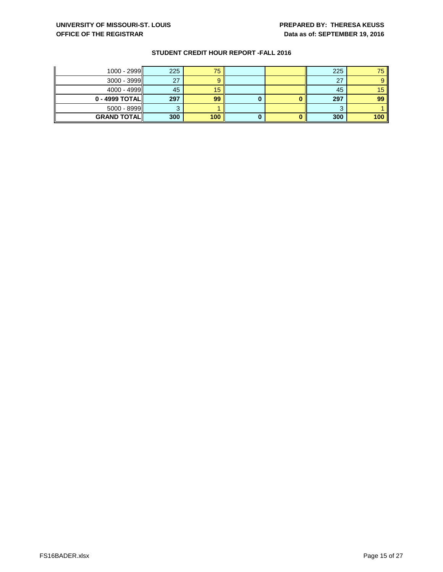| $1000 - 2999$      | 225 | 75  |  | 225 | 75. |
|--------------------|-----|-----|--|-----|-----|
| $3000 - 3999$      | 27  |     |  | 27  |     |
| $4000 - 4999$      | 45  | 15  |  | 45  | 15  |
| $0 - 4999$ TOTAL   | 297 | 99  |  | 297 | 99  |
| $5000 - 8999$      |     |     |  | ◠   |     |
| <b>GRAND TOTAL</b> | 300 | 100 |  | 300 | 100 |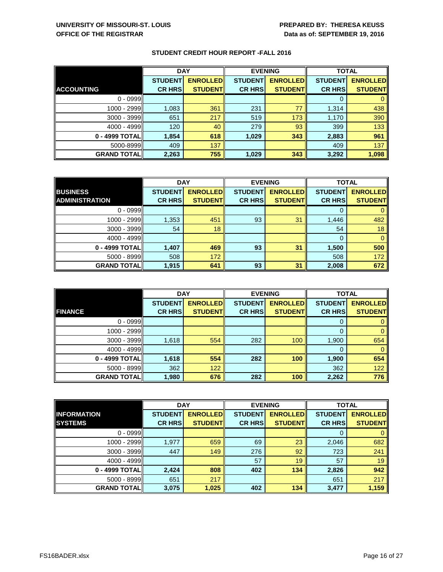|                    | <b>DAY</b>     |                 | <b>EVENING</b> |                 | <b>TOTAL</b>   |                 |
|--------------------|----------------|-----------------|----------------|-----------------|----------------|-----------------|
|                    | <b>STUDENT</b> | <b>ENROLLED</b> | <b>STUDENT</b> | <b>ENROLLED</b> | <b>STUDENT</b> | <b>ENROLLED</b> |
| <b>ACCOUNTING</b>  | <b>CR HRS</b>  | <b>STUDENT</b>  | <b>CR HRS</b>  | <b>STUDENT</b>  | <b>CR HRS</b>  | <b>STUDENT</b>  |
| $0 - 0999$         |                |                 |                |                 |                |                 |
| 1000 - 2999        | 1,083          | 361             | 231            | 77              | 1,314          | 438             |
| $3000 - 3999$      | 651            | 217             | 519            | 173             | 1,170          | 390             |
| 4000 - 4999        | 120            | 40              | 279            | 93              | 399            | 133             |
| 0 - 4999 TOTAL     | 1,854          | 618             | 1,029          | 343             | 2,883          | 961             |
| 5000-8999          | 409            | 137             |                |                 | 409            | 137             |
| <b>GRAND TOTAL</b> | 2,263          | 755             | 1,029          | 343             | 3,292          | 1,098           |

|                       | <b>DAY</b>     |                 |                | <b>EVENING</b>  | <b>TOTAL</b>   |                 |
|-----------------------|----------------|-----------------|----------------|-----------------|----------------|-----------------|
| <b>BUSINESS</b>       | <b>STUDENT</b> | <b>ENROLLED</b> | <b>STUDENT</b> | <b>ENROLLED</b> | <b>STUDENT</b> | <b>ENROLLED</b> |
| <b>ADMINISTRATION</b> | <b>CR HRS</b>  | <b>STUDENT</b>  | <b>CR HRS</b>  | <b>STUDENT</b>  | <b>CR HRS</b>  | <b>STUDENT</b>  |
| $0 - 0999$            |                |                 |                |                 | O              |                 |
| 1000 - 2999           | 1,353          | 451             | 93             | 31              | 1,446          | 482             |
| $3000 - 3999$         | 54             | 18              |                |                 | 54             | 18              |
| 4000 - 4999           |                |                 |                |                 | $\Omega$       |                 |
| 0 - 4999 TOTAL        | 1,407          | 469             | 93             | 31              | 1,500          | 500             |
| $5000 - 8999$         | 508            | 172             |                |                 | 508            | 172             |
| <b>GRAND TOTAL</b>    | 1,915          | 641             | 93             | 31              | 2,008          | 672             |

|                    | <b>DAY</b>     |                 |                | <b>EVENING</b>  | <b>TOTAL</b>   |                 |
|--------------------|----------------|-----------------|----------------|-----------------|----------------|-----------------|
|                    | <b>STUDENT</b> | <b>ENROLLED</b> | <b>STUDENT</b> | <b>ENROLLED</b> | <b>STUDENT</b> | <b>ENROLLED</b> |
| <b>FINANCE</b>     | <b>CR HRS</b>  | <b>STUDENT</b>  | <b>CR HRS</b>  | <b>STUDENT</b>  | <b>CR HRS</b>  | <b>STUDENT</b>  |
| $0 - 0999$         |                |                 |                |                 | 0              |                 |
| 1000 - 2999        |                |                 |                |                 | 0              | 0               |
| $3000 - 3999$      | 1,618          | 554             | 282            | 100             | 1,900          | 654             |
| 4000 - 4999        |                |                 |                |                 | 0              | $\mathbf{0}$    |
| 0 - 4999 TOTAL     | 1,618          | 554             | 282            | 100             | 1,900          | 654             |
| $5000 - 8999$      | 362            | 122             |                |                 | 362            | 122             |
| <b>GRAND TOTAL</b> | 1,980          | 676             | 282            | 100             | 2,262          | 776             |

|                    | <b>DAY</b>     |                 |                | <b>EVENING</b>  | <b>TOTAL</b>   |                 |
|--------------------|----------------|-----------------|----------------|-----------------|----------------|-----------------|
| <b>INFORMATION</b> | <b>STUDENT</b> | <b>ENROLLED</b> | <b>STUDENT</b> | <b>ENROLLED</b> | <b>STUDENT</b> | <b>ENROLLED</b> |
| <b>SYSTEMS</b>     | <b>CR HRS</b>  | <b>STUDENT</b>  | <b>CR HRS</b>  | <b>STUDENT</b>  | <b>CR HRS</b>  | <b>STUDENT</b>  |
| $0 - 0999$         |                |                 |                |                 | 0              | 0               |
| 1000 - 2999        | 1,977          | 659             | 69             | 23              | 2,046          | 682             |
| $3000 - 3999$      | 447            | 149             | 276            | 92              | 723            | 241             |
| $4000 - 4999$      |                |                 | 57             | 19              | 57             | 19              |
| 0 - 4999 TOTAL     | 2,424          | 808             | 402            | 134             | 2,826          | 942             |
| $5000 - 8999$      | 651            | 217             |                |                 | 651            | 217             |
| <b>GRAND TOTAL</b> | 3,075          | 1,025           | 402            | 134             | 3,477          | 1,159           |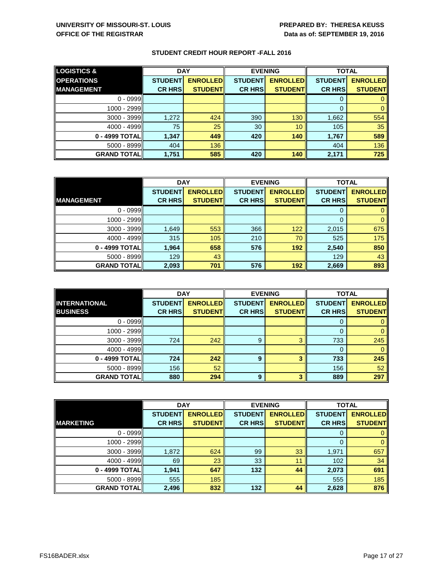| <b>LOGISTICS &amp;</b> | <b>DAY</b>     |                 | <b>EVENING</b> |                 | <b>TOTAL</b>   |                 |
|------------------------|----------------|-----------------|----------------|-----------------|----------------|-----------------|
| <b>OPERATIONS</b>      | <b>STUDENT</b> | <b>ENROLLED</b> | <b>STUDENT</b> | <b>ENROLLED</b> | <b>STUDENT</b> | <b>ENROLLED</b> |
| <b>MANAGEMENT</b>      | <b>CR HRS</b>  | <b>STUDENT</b>  | <b>CR HRS</b>  | <b>STUDENT</b>  | <b>CR HRS</b>  | <b>STUDENT</b>  |
| $0 - 0999$             |                |                 |                |                 | O              |                 |
| 1000 - 2999            |                |                 |                |                 | O              |                 |
| $3000 - 3999$          | 1,272          | 424             | 390            | 130             | 1,662          | 554             |
| 4000 - 4999            | 75             | 25              | 30             | 10              | 105            | 35              |
| 0 - 4999 TOTAL         | 1,347          | 449             | 420            | 140             | 1,767          | 589             |
| $5000 - 8999$          | 404            | 136             |                |                 | 404            | 136             |
| <b>GRAND TOTAL  </b>   | 1,751          | 585             | 420            | 140             | 2,171          | 725             |

|                    | <b>DAY</b>     |                 | <b>EVENING</b> |                 | <b>TOTAL</b>   |                 |
|--------------------|----------------|-----------------|----------------|-----------------|----------------|-----------------|
|                    | <b>STUDENT</b> | <b>ENROLLED</b> | <b>STUDENT</b> | <b>ENROLLED</b> | <b>STUDENT</b> | <b>ENROLLED</b> |
| <b>MANAGEMENT</b>  | <b>CR HRS</b>  | <b>STUDENT</b>  | <b>CR HRS</b>  | <b>STUDENT</b>  | <b>CR HRS</b>  | <b>STUDENT</b>  |
| $0 - 0999$         |                |                 |                |                 | 0              |                 |
| 1000 - 2999        |                |                 |                |                 |                |                 |
| $3000 - 3999$      | 1,649          | 553             | 366            | 122             | 2,015          | 675             |
| 4000 - 4999        | 315            | 105             | 210            | 70              | 525            | 175             |
| 0 - 4999 TOTAL     | 1,964          | 658             | 576            | 192             | 2,540          | 850             |
| $5000 - 8999$      | 129            | 43              |                |                 | 129            | 43              |
| <b>GRAND TOTAL</b> | 2,093          | 701             | 576            | 192             | 2,669          | 893             |

|                      | <b>DAY</b>     |                 |                | <b>EVENING</b>  | <b>TOTAL</b>   |                 |
|----------------------|----------------|-----------------|----------------|-----------------|----------------|-----------------|
| <b>INTERNATIONAL</b> | <b>STUDENT</b> | <b>ENROLLED</b> | <b>STUDENT</b> | <b>ENROLLED</b> | <b>STUDENT</b> | <b>ENROLLED</b> |
| <b>BUSINESS</b>      | <b>CR HRS</b>  | <b>STUDENT</b>  | <b>CR HRS</b>  | <b>STUDENT</b>  | <b>CR HRS</b>  | <b>STUDENT</b>  |
| $0 - 0999$           |                |                 |                |                 | 0              |                 |
| 1000 - 2999          |                |                 |                |                 | 0              | 0               |
| 3000 - 3999          | 724            | 242             | 9              | 3               | 733            | 245             |
| 4000 - 4999          |                |                 |                |                 | 0              | $\overline{0}$  |
| 0 - 4999 TOTAL       | 724            | 242             | 9              | 3               | 733            | 245             |
| $5000 - 8999$        | 156            | 52              |                |                 | 156            | 52              |
| <b>GRAND TOTAL</b>   | 880            | 294             | 9              | 3               | 889            | 297             |

|                      | <b>DAY</b>     |                 |                | <b>EVENING</b>  | <b>TOTAL</b>   |                 |
|----------------------|----------------|-----------------|----------------|-----------------|----------------|-----------------|
|                      | <b>STUDENT</b> | <b>ENROLLED</b> | <b>STUDENT</b> | <b>ENROLLED</b> | <b>STUDENT</b> | <b>ENROLLED</b> |
| <b>MARKETING</b>     | <b>CR HRS</b>  | <b>STUDENT</b>  | <b>CR HRS</b>  | <b>STUDENT</b>  | <b>CR HRS</b>  | <b>STUDENT</b>  |
| $0 - 0999$           |                |                 |                |                 | 0              | 0               |
| 1000 - 2999          |                |                 |                |                 | $\Omega$       | $\mathbf{0}$    |
| $3000 - 3999$        | 1,872          | 624             | 99             | 33              | 1,971          | 657             |
| 4000 - 4999          | 69             | 23              | 33             | 11              | 102            | 34              |
| 0 - 4999 TOTAL       | 1,941          | 647             | 132            | 44              | 2,073          | 691             |
| $5000 - 8999$        | 555            | 185             |                |                 | 555            | 185             |
| <b>GRAND TOTAL  </b> | 2,496          | 832             | 132            | 44              | 2,628          | 876             |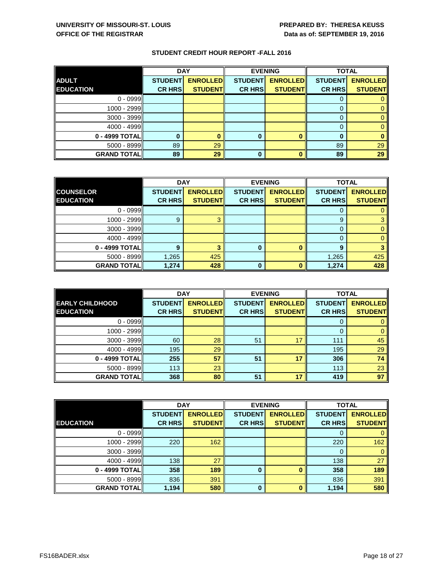|                    | <b>DAY</b>     |                 |                | <b>EVENING</b>  | <b>TOTAL</b>   |                 |
|--------------------|----------------|-----------------|----------------|-----------------|----------------|-----------------|
| <b>ADULT</b>       | <b>STUDENT</b> | <b>ENROLLED</b> | <b>STUDENT</b> | <b>ENROLLED</b> | <b>STUDENT</b> | <b>ENROLLED</b> |
| <b>EDUCATION</b>   | <b>CR HRS</b>  | <b>STUDENT</b>  | <b>CR HRS</b>  | <b>STUDENT</b>  | <b>CR HRS</b>  | <b>STUDENT</b>  |
| $0 - 0999$         |                |                 |                |                 |                |                 |
| 1000 - 2999        |                |                 |                |                 |                |                 |
| $3000 - 3999$      |                |                 |                |                 |                |                 |
| 4000 - 4999        |                |                 |                |                 |                |                 |
| 0 - 4999 TOTAL     |                |                 | 0              |                 |                |                 |
| $5000 - 8999$      | 89             | 29              |                |                 | 89             | 29              |
| <b>GRAND TOTAL</b> | 89             | 29              | 0              |                 | 89             | 29              |

|                    | <b>DAY</b>     |                 | <b>EVENING</b> |                 | <b>TOTAL</b>   |                 |
|--------------------|----------------|-----------------|----------------|-----------------|----------------|-----------------|
| <b>COUNSELOR</b>   | <b>STUDENT</b> | <b>ENROLLED</b> | <b>STUDENT</b> | <b>ENROLLED</b> | <b>STUDENT</b> | <b>ENROLLED</b> |
| <b>EDUCATION</b>   | <b>CR HRS</b>  | <b>STUDENT</b>  | <b>CR HRS</b>  | <b>STUDENT</b>  | <b>CR HRS</b>  | <b>STUDENT</b>  |
| $0 - 0999$         |                |                 |                |                 | 0              |                 |
| 1000 - 2999        | 9              |                 |                |                 | 9              |                 |
| $3000 - 3999$      |                |                 |                |                 | 0              |                 |
| 4000 - 4999        |                |                 |                |                 | 0              |                 |
| 0 - 4999 TOTAL     | 9              |                 | 0              |                 | 9              |                 |
| 5000 - 8999        | 1,265          | 425             |                |                 | 1,265          | 425             |
| <b>GRAND TOTAL</b> | 1,274          | 428             | <sup>0</sup>   |                 | 1,274          | 428             |

|                        | <b>DAY</b>     |                 |                | <b>EVENING</b>  | <b>TOTAL</b>   |                 |
|------------------------|----------------|-----------------|----------------|-----------------|----------------|-----------------|
| <b>EARLY CHILDHOOD</b> | <b>STUDENT</b> | <b>ENROLLED</b> | <b>STUDENT</b> | <b>ENROLLED</b> | <b>STUDENT</b> | <b>ENROLLED</b> |
| <b>EDUCATION</b>       | <b>CR HRS</b>  | <b>STUDENT</b>  | <b>CR HRS</b>  | <b>STUDENT</b>  | <b>CR HRS</b>  | <b>STUDENT</b>  |
| $0 - 0999$             |                |                 |                |                 | 0              |                 |
| 1000 - 2999            |                |                 |                |                 | $\Omega$       | 0               |
| 3000 - 3999            | 60             | 28              | 51             | 17              | 111            | 45              |
| 4000 - 4999            | 195            | 29              |                |                 | 195            | 29              |
| 0 - 4999 TOTAL         | 255            | 57              | 51             | 17              | 306            | 74              |
| $5000 - 8999$          | 113            | 23              |                |                 | 113            | 23              |
| <b>GRAND TOTAL</b>     | 368            | 80              | 51             | 17              | 419            | 97              |

|                      | <b>DAY</b>     |                 |                | <b>EVENING</b>  | <b>TOTAL</b>   |                 |
|----------------------|----------------|-----------------|----------------|-----------------|----------------|-----------------|
|                      | <b>STUDENT</b> | <b>ENROLLED</b> | <b>STUDENT</b> | <b>ENROLLED</b> | <b>STUDENT</b> | <b>ENROLLED</b> |
| <b>EDUCATION</b>     | <b>CR HRS</b>  | <b>STUDENT</b>  | <b>CR HRS</b>  | <b>STUDENT</b>  | <b>CR HRS</b>  | <b>STUDENT</b>  |
| $0 - 0999$           |                |                 |                |                 | 0              |                 |
| 1000 - 2999          | 220            | 162             |                |                 | 220            | 162             |
| $3000 - 3999$        |                |                 |                |                 | 0              | $\mathbf{0}$    |
| $4000 - 4999$        | 138            | 27              |                |                 | 138            | 27              |
| 0 - 4999 TOTAL       | 358            | 189             | 0              |                 | 358            | 189             |
| $5000 - 8999$        | 836            | 391             |                |                 | 836            | 391             |
| <b>GRAND TOTAL  </b> | 1,194          | 580             | $\bf{0}$       |                 | 1,194          | 580             |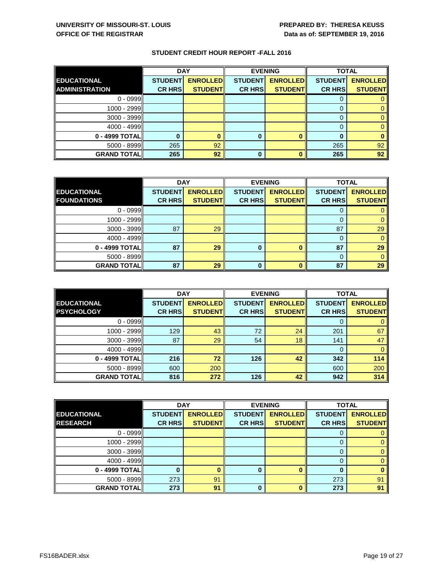|                    | <b>DAY</b>     |                  | <b>EVENING</b> |                 | <b>TOTAL</b>                                                       |                |
|--------------------|----------------|------------------|----------------|-----------------|--------------------------------------------------------------------|----------------|
| <b>EDUCATIONAL</b> | <b>STUDENT</b> | <b>ENROLLEDI</b> |                |                 | STUDENT <mark>  ENROLLED </mark>   STUDENT <mark>  ENROLLED</mark> |                |
| ADMINISTRATION     | <b>CR HRSI</b> | <b>STUDENTI</b>  | <b>CR HRSI</b> | <b>STUDENTI</b> | <b>CR HRSI</b>                                                     | <b>STUDENT</b> |

0 - 0999 0 0 1000 - 2999 0 0  $3000 - 3999$  0 4000 - 4999 0 0 **0 - 4999 TOTAL 0 0 0 0 0 0** 5000 - 8999 265 92 265 92 **GRAND TOTAL 265 92 0 0 265 92**

|                      | <b>DAY</b>     |                 | <b>EVENING</b> |                 | <b>TOTAL</b>   |                 |
|----------------------|----------------|-----------------|----------------|-----------------|----------------|-----------------|
| <b>EDUCATIONAL</b>   | <b>STUDENT</b> | <b>ENROLLED</b> | <b>STUDENT</b> | <b>ENROLLED</b> | <b>STUDENT</b> | <b>ENROLLED</b> |
| <b>FOUNDATIONS</b>   | <b>CR HRS</b>  | <b>STUDENT</b>  | <b>CR HRS</b>  | <b>STUDENT</b>  | <b>CR HRS</b>  | <b>STUDENT</b>  |
| $0 - 0999$           |                |                 |                |                 | Ü              |                 |
| 1000 - 2999          |                |                 |                |                 | 0              |                 |
| $3000 - 3999$        | 87             | 29              |                |                 | 87             | 29              |
| $4000 - 4999$        |                |                 |                |                 | 0              |                 |
| 0 - 4999 TOTAL       | 87             | 29              | 0              | o               | 87             | 29              |
| $5000 - 8999$        |                |                 |                |                 | 0              |                 |
| <b>GRAND TOTAL  </b> | 87             | 29              |                |                 | 87             | 29              |

|                      | <b>DAY</b>     |                 |                | <b>EVENING</b>  |                | <b>TOTAL</b>    |  |
|----------------------|----------------|-----------------|----------------|-----------------|----------------|-----------------|--|
| <b>EDUCATIONAL</b>   | <b>STUDENT</b> | <b>ENROLLED</b> | <b>STUDENT</b> | <b>ENROLLED</b> | <b>STUDENT</b> | <b>ENROLLED</b> |  |
| <b>PSYCHOLOGY</b>    | <b>CR HRS</b>  | <b>STUDENT</b>  | <b>CR HRS</b>  | <b>STUDENT</b>  | <b>CR HRS</b>  | <b>STUDENT</b>  |  |
| $0 - 0999$           |                |                 |                |                 | 0              | 0               |  |
| 1000 - 2999          | 129            | 43              | 72             | 24              | 201            | 67              |  |
| $3000 - 3999$        | 87             | 29              | 54             | 18              | 141            | 47              |  |
| 4000 - 4999          |                |                 |                |                 | 0              | $\mathbf{0}$    |  |
| 0 - 4999 TOTAL       | 216            | 72              | 126            | 42              | 342            | 114             |  |
| $5000 - 8999$        | 600            | 200             |                |                 | 600            | 200             |  |
| <b>GRAND TOTAL  </b> | 816            | 272             | 126            | 42              | 942            | 314             |  |

|                      | <b>DAY</b>     |                 |                | <b>EVENING</b>  | <b>TOTAL</b>   |                 |
|----------------------|----------------|-----------------|----------------|-----------------|----------------|-----------------|
| <b>EDUCATIONAL</b>   | <b>STUDENT</b> | <b>ENROLLED</b> | <b>STUDENT</b> | <b>ENROLLED</b> | <b>STUDENT</b> | <b>ENROLLED</b> |
| <b>RESEARCH</b>      | <b>CR HRS</b>  | <b>STUDENT</b>  | <b>CR HRS</b>  | <b>STUDENT</b>  | <b>CR HRS</b>  | <b>STUDENT</b>  |
| $0 - 0999$           |                |                 |                |                 |                |                 |
| 1000 - 2999          |                |                 |                |                 |                |                 |
| $3000 - 3999$        |                |                 |                |                 |                |                 |
| 4000 - 4999          |                |                 |                |                 |                |                 |
| 0 - 4999 TOTAL       |                |                 | 0              |                 | n              |                 |
| $5000 - 8999$        | 273            | 91              |                |                 | 273            | 91              |
| <b>GRAND TOTAL  </b> | 273            | 91              | 0              | Ω               | 273            | 91              |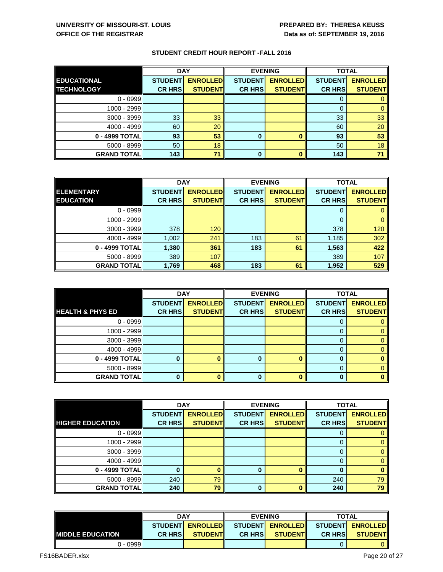|                    | <b>DAY</b>     |                 | <b>EVENING</b> |                 | <b>TOTAL</b>   |                 |
|--------------------|----------------|-----------------|----------------|-----------------|----------------|-----------------|
| <b>EDUCATIONAL</b> | <b>STUDENT</b> | <b>ENROLLED</b> | <b>STUDENT</b> | <b>ENROLLED</b> | <b>STUDENT</b> | <b>ENROLLED</b> |
| <b>TECHNOLOGY</b>  | <b>CR HRS</b>  | <b>STUDENT</b>  | <b>CR HRS</b>  | <b>STUDENT</b>  | <b>CR HRS</b>  | <b>STUDENT</b>  |
| $0 - 0999$         |                |                 |                |                 |                |                 |
| 1000 - 2999        |                |                 |                |                 | 0              |                 |
| $3000 - 3999$      | 33             | 33              |                |                 | 33             | 33              |
| 4000 - 4999        | 60             | 20              |                |                 | 60             | 20              |
| 0 - 4999 TOTAL     | 93             | 53              | 0              |                 | 93             | 53              |
| $5000 - 8999$      | 50             | 18              |                |                 | 50             | 18              |
| <b>GRAND TOTAL</b> | 143            | 71              | 0              |                 | 143            | 7 <sup>1</sup>  |

|                    | <b>DAY</b>     |                 |                | <b>EVENING</b>  | <b>TOTAL</b>   |                 |
|--------------------|----------------|-----------------|----------------|-----------------|----------------|-----------------|
| <b>ELEMENTARY</b>  | <b>STUDENT</b> | <b>ENROLLED</b> | <b>STUDENT</b> | <b>ENROLLED</b> | <b>STUDENT</b> | <b>ENROLLED</b> |
| <b>EDUCATION</b>   | <b>CR HRS</b>  | <b>STUDENT</b>  | <b>CR HRS</b>  | <b>STUDENT</b>  | <b>CR HRS</b>  | <b>STUDENT</b>  |
| $0 - 0999$         |                |                 |                |                 | O              |                 |
| 1000 - 2999        |                |                 |                |                 | 0              |                 |
| $3000 - 3999$      | 378            | 120             |                |                 | 378            | 120             |
| 4000 - 4999        | 1,002          | 241             | 183            | 61              | 1,185          | 302             |
| 0 - 4999 TOTAL     | 1,380          | 361             | 183            | 61              | 1,563          | 422             |
| $5000 - 8999$      | 389            | 107             |                |                 | 389            | 107             |
| <b>GRAND TOTAL</b> | 1,769          | 468             | 183            | 61              | 1,952          | 529             |

|                             | <b>DAY</b>     |                 | <b>EVENING</b> |                 | <b>TOTAL</b>   |                 |
|-----------------------------|----------------|-----------------|----------------|-----------------|----------------|-----------------|
|                             | <b>STUDENT</b> | <b>ENROLLED</b> | <b>STUDENT</b> | <b>ENROLLED</b> | <b>STUDENT</b> | <b>ENROLLED</b> |
| <b>HEALTH &amp; PHYS ED</b> | <b>CR HRS</b>  | <b>STUDENT</b>  | <b>CR HRS</b>  | <b>STUDENT</b>  | <b>CR HRS</b>  | <b>STUDENT</b>  |
| $0 - 0999$                  |                |                 |                |                 | 0              |                 |
| 1000 - 2999                 |                |                 |                |                 | 0              |                 |
| $3000 - 3999$               |                |                 |                |                 | $\Omega$       |                 |
| 4000 - 4999                 |                |                 |                |                 | 0              |                 |
| 0 - 4999 TOTAL              |                | n               | $\bf{0}$       |                 |                |                 |
| $5000 - 8999$               |                |                 |                |                 | 0              |                 |
| <b>GRAND TOTAL</b>          |                | n               | $\Omega$       |                 |                |                 |

|                         | <b>DAY</b>     |                 | <b>EVENING</b> |                 | <b>TOTAL</b>   |                 |
|-------------------------|----------------|-----------------|----------------|-----------------|----------------|-----------------|
|                         | <b>STUDENT</b> | <b>ENROLLED</b> | <b>STUDENT</b> | <b>ENROLLED</b> | <b>STUDENT</b> | <b>ENROLLED</b> |
| <b>HIGHER EDUCATION</b> | <b>CR HRS</b>  | <b>STUDENT</b>  | <b>CR HRS</b>  | <b>STUDENT</b>  | <b>CR HRS</b>  | <b>STUDENT</b>  |
| $0 - 0999$              |                |                 |                |                 | U              |                 |
| 1000 - 2999             |                |                 |                |                 |                | $\mathbf{0}$    |
| $3000 - 3999$           |                |                 |                |                 |                | $\theta$        |
| 4000 - 4999             |                |                 |                |                 |                | 0               |
| 0 - 4999 TOTAL          |                | n               | 0              |                 | n              | $\bf{0}$        |
| $5000 - 8999$           | 240            | 79              |                |                 | 240            | 79              |
| <b>GRAND TOTAL</b>      | 240            | 79              | $\bf{0}$       |                 | 240            | 79              |

|                          | <b>DAY</b>                         |                 | <b>EVENING</b> |                  | <b>TOTAL</b>                      |                |
|--------------------------|------------------------------------|-----------------|----------------|------------------|-----------------------------------|----------------|
|                          | <b>ENROLLED</b><br><b>STUDENTI</b> |                 |                |                  | STUDENT ENROLLED STUDENT ENROLLED |                |
| <b>IMIDDLE EDUCATION</b> | <b>CR HRSI</b>                     | <b>STUDENTI</b> | <b>CR HRSI</b> | <b>STUDENTIL</b> | <b>CR HRSI</b>                    | <b>STUDENT</b> |
| $0 - 0999$               |                                    |                 |                |                  |                                   |                |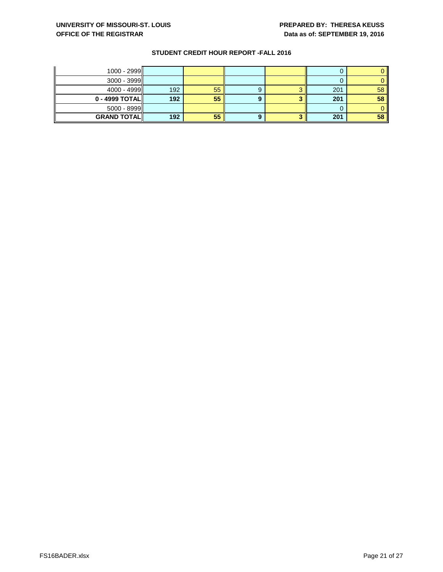| $1000 - 2999$         |     |    |   |     |    |
|-----------------------|-----|----|---|-----|----|
| $3000 - 3999$         |     |    |   |     |    |
| $4000 - 4999$         | 192 | 55 | 9 | 201 | 58 |
| $0 - 4999$ TOTAL $  $ | 192 | 55 |   | 201 | 58 |
| $5000 - 8999$         |     |    |   |     |    |
| <b>GRAND TOTAL</b>    | 192 | 55 |   | 201 | 58 |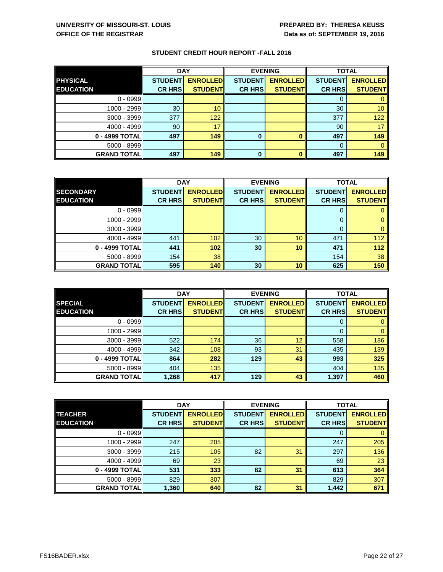|                    | <b>DAY</b>     |                 |                | <b>EVENING</b>  | <b>TOTAL</b>   |                 |
|--------------------|----------------|-----------------|----------------|-----------------|----------------|-----------------|
| <b>PHYSICAL</b>    | <b>STUDENT</b> | <b>ENROLLED</b> | <b>STUDENT</b> | <b>ENROLLED</b> | <b>STUDENT</b> | <b>ENROLLED</b> |
| <b>EDUCATION</b>   | <b>CR HRS</b>  | <b>STUDENT</b>  | <b>CR HRS</b>  | <b>STUDENT</b>  | <b>CR HRS</b>  | <b>STUDENT</b>  |
| $0 - 0999$         |                |                 |                |                 |                |                 |
| 1000 - 2999        | 30             | 10              |                |                 | 30             | 10              |
| $3000 - 3999$      | 377            | 122             |                |                 | 377            | 122             |
| 4000 - 4999        | 90             | 17              |                |                 | 90             | 17              |
| 0 - 4999 TOTAL     | 497            | 149             | 0              |                 | 497            | 149             |
| $5000 - 8999$      |                |                 |                |                 | 0              |                 |
| <b>GRAND TOTAL</b> | 497            | 149             | 0              |                 | 497            | 149             |

|                    | <b>DAY</b>     |                 | <b>EVENING</b> |                 | <b>TOTAL</b>   |                 |
|--------------------|----------------|-----------------|----------------|-----------------|----------------|-----------------|
| <b>SECONDARY</b>   | <b>STUDENT</b> | <b>ENROLLED</b> | <b>STUDENT</b> | <b>ENROLLED</b> | <b>STUDENT</b> | <b>ENROLLED</b> |
| <b>EDUCATION</b>   | <b>CR HRS</b>  | <b>STUDENT</b>  | <b>CR HRS</b>  | <b>STUDENT</b>  | <b>CR HRS</b>  | <b>STUDENT</b>  |
| $0 - 0999$         |                |                 |                |                 | 0              |                 |
| 1000 - 2999        |                |                 |                |                 | 0              |                 |
| $3000 - 3999$      |                |                 |                |                 | 0              |                 |
| 4000 - 4999        | 441            | 102             | 30             | 10 <sup>°</sup> | 471            | 112             |
| 0 - 4999 TOTAL     | 441            | 102             | 30             | 10              | 471            | 112             |
| $5000 - 8999$      | 154            | 38              |                |                 | 154            | 38              |
| <b>GRAND TOTAL</b> | 595            | 140             | 30             | 10              | 625            | 150             |

|                    | <b>DAY</b>     |                 |                | <b>EVENING</b>  | <b>TOTAL</b>   |                 |
|--------------------|----------------|-----------------|----------------|-----------------|----------------|-----------------|
| <b>SPECIAL</b>     | <b>STUDENT</b> | <b>ENROLLED</b> | <b>STUDENT</b> | <b>ENROLLED</b> | <b>STUDENT</b> | <b>ENROLLED</b> |
| <b>EDUCATION</b>   | <b>CR HRS</b>  | <b>STUDENT</b>  | <b>CR HRS</b>  | <b>STUDENT</b>  | <b>CR HRS</b>  | <b>STUDENT</b>  |
| $0 - 0999$         |                |                 |                |                 | 0              |                 |
| 1000 - 2999        |                |                 |                |                 | $\Omega$       | $\mathbf{0}$    |
| 3000 - 3999        | 522            | 174             | 36             | 12              | 558            | 186             |
| 4000 - 4999        | 342            | 108             | 93             | 31              | 435            | 139             |
| 0 - 4999 TOTAL     | 864            | 282             | 129            | 43              | 993            | 325             |
| $5000 - 8999$      | 404            | 135             |                |                 | 404            | 135             |
| <b>GRAND TOTAL</b> | 1,268          | 417             | 129            | 43              | 1,397          | 460             |

|                      | <b>DAY</b>     |                 |                | <b>EVENING</b>  | <b>TOTAL</b>   |                 |
|----------------------|----------------|-----------------|----------------|-----------------|----------------|-----------------|
| <b>TEACHER</b>       | <b>STUDENT</b> | <b>ENROLLED</b> | <b>STUDENT</b> | <b>ENROLLED</b> | <b>STUDENT</b> | <b>ENROLLED</b> |
| <b>EDUCATION</b>     | <b>CR HRS</b>  | <b>STUDENT</b>  | <b>CR HRS</b>  | <b>STUDENT</b>  | <b>CR HRS</b>  | <b>STUDENT</b>  |
| $0 - 0999$           |                |                 |                |                 | 0              | 0               |
| 1000 - 2999          | 247            | 205             |                |                 | 247            | 205             |
| $3000 - 3999$        | 215            | 105             | 82             | 31              | 297            | 136             |
| 4000 - 4999          | 69             | 23              |                |                 | 69             | 23              |
| 0 - 4999 TOTAL       | 531            | 333             | 82             | 31              | 613            | 364             |
| $5000 - 8999$        | 829            | 307             |                |                 | 829            | 307             |
| <b>GRAND TOTAL  </b> | 1,360          | 640             | 82             | 31              | 1,442          | 671             |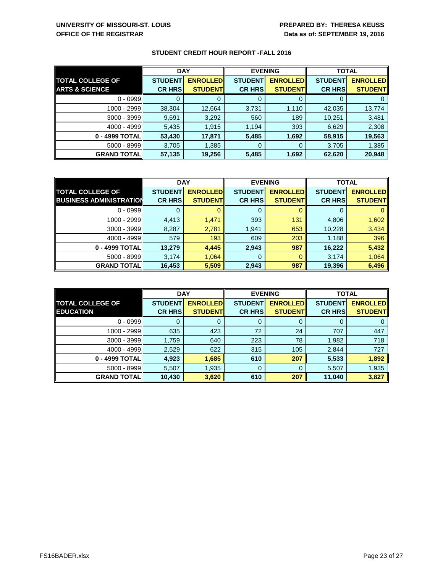|                           | <b>DAY</b>     |                 | <b>EVENING</b> |                 | <b>TOTAL</b>   |                 |
|---------------------------|----------------|-----------------|----------------|-----------------|----------------|-----------------|
| <b>TOTAL COLLEGE OF</b>   | <b>STUDENT</b> | <b>ENROLLED</b> | <b>STUDENT</b> | <b>ENROLLED</b> | <b>STUDENT</b> | <b>ENROLLED</b> |
| <b>ARTS &amp; SCIENCE</b> | <b>CR HRS</b>  | <b>STUDENT</b>  | <b>CR HRS</b>  | <b>STUDENT</b>  | <b>CR HRS</b>  | <b>STUDENT</b>  |
| $0 - 0999$                |                |                 |                |                 |                |                 |
| 1000 - 2999               | 38,304         | 12,664          | 3,731          | 1,110           | 42,035         | 13,774          |
| $3000 - 3999$             | 9,691          | 3,292           | 560            | 189             | 10,251         | 3,481           |
| 4000 - 4999               | 5,435          | 1,915           | 1,194          | 393             | 6,629          | 2,308           |
| 0 - 4999 TOTAL            | 53,430         | 17,871          | 5,485          | 1,692           | 58,915         | 19,563          |
| $5000 - 8999$             | 3,705          | 1,385           | 0              |                 | 3,705          | 1,385           |
| <b>GRAND TOTAL  </b>      | 57,135         | 19,256          | 5,485          | 1,692           | 62,620         | 20,948          |

|                                | <b>DAY</b>     |                 | <b>EVENING</b> |                 | <b>TOTAL</b>   |                 |
|--------------------------------|----------------|-----------------|----------------|-----------------|----------------|-----------------|
| <b>TOTAL COLLEGE OF</b>        | <b>STUDENT</b> | <b>ENROLLED</b> | <b>STUDENT</b> | <b>ENROLLED</b> | <b>STUDENT</b> | <b>ENROLLED</b> |
| <b>BUSINESS ADMINISTRATION</b> | <b>CR HRS</b>  | <b>STUDENT</b>  | <b>CR HRS</b>  | <b>STUDENT</b>  | <b>CR HRS</b>  | <b>STUDENT</b>  |
| $0 - 0999$                     |                |                 |                |                 |                |                 |
| 1000 - 2999                    | 4,413          | 1,471           | 393            | 131             | 4,806          | 1,602           |
| $3000 - 3999$                  | 8,287          | 2,781           | 1,941          | 653             | 10,228         | 3,434           |
| 4000 - 4999                    | 579            | 193             | 609            | 203             | 1,188          | 396             |
| 0 - 4999 TOTAL                 | 13,279         | 4,445           | 2,943          | 987             | 16,222         | 5,432           |
| $5000 - 8999$                  | 3,174          | 1,064           | 0              |                 | 3,174          | 1,064           |
| <b>GRAND TOTAL</b>             | 16,453         | 5,509           | 2,943          | 987             | 19,396         | 6,496           |

|                                             | <b>DAY</b>                      |                                   | <b>EVENING</b>                  |                                   | <b>TOTAL</b>                    |                                   |
|---------------------------------------------|---------------------------------|-----------------------------------|---------------------------------|-----------------------------------|---------------------------------|-----------------------------------|
| <b>TOTAL COLLEGE OF</b><br><b>EDUCATION</b> | <b>STUDENT</b><br><b>CR HRS</b> | <b>ENROLLED</b><br><b>STUDENT</b> | <b>STUDENT</b><br><b>CR HRS</b> | <b>ENROLLED</b><br><b>STUDENT</b> | <b>STUDENT</b><br><b>CR HRS</b> | <b>ENROLLED</b><br><b>STUDENT</b> |
| $0 - 0999$                                  |                                 |                                   | 0                               |                                   |                                 |                                   |
| 1000 - 2999                                 | 635                             | 423                               | 72                              | 24                                | 707                             | 447                               |
| $3000 - 3999$                               | 1,759                           | 640                               | 223                             | 78                                | 1,982                           | 718                               |
| 4000 - 4999                                 | 2,529                           | 622                               | 315                             | 105                               | 2,844                           | 727                               |
| 0 - 4999 TOTAL                              | 4,923                           | 1,685                             | 610                             | 207                               | 5,533                           | 1,892                             |
| $5000 - 8999$                               | 5,507                           | 1,935                             | 0                               | O                                 | 5,507                           | 1,935                             |
| <b>GRAND TOTAL</b>                          | 10,430                          | 3,620                             | 610                             | 207                               | 11,040                          | 3,827                             |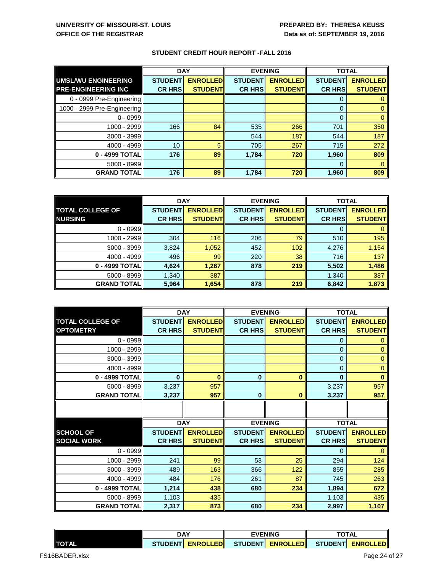|                             | <b>DAY</b>     |                 | <b>EVENING</b> |                 | <b>TOTAL</b>   |                 |
|-----------------------------|----------------|-----------------|----------------|-----------------|----------------|-----------------|
| UMSL/WU ENGINEERING         | <b>STUDENT</b> | <b>ENROLLED</b> | <b>STUDENT</b> | <b>ENROLLED</b> | <b>STUDENT</b> | <b>ENROLLED</b> |
| <b>PRE-ENGINEERING INC</b>  | <b>CR HRS</b>  | <b>STUDENT</b>  | <b>CR HRS</b>  | <b>STUDENT</b>  | <b>CR HRS</b>  | <b>STUDENT</b>  |
| 0 - 0999 Pre-Engineering    |                |                 |                |                 |                |                 |
| 1000 - 2999 Pre-Engineering |                |                 |                |                 | $\Omega$       |                 |
| $0 - 0999$                  |                |                 |                |                 | $\Omega$       |                 |
| 1000 - 2999                 | 166            | 84              | 535            | 266             | 701            | 350             |
| 3000 - 3999                 |                |                 | 544            | 187             | 544            | 187             |
| 4000 - 4999                 | 10             | 5               | 705            | 267             | 715            | 272             |
| 0 - 4999 TOTAL              | 176            | 89              | 1,784          | 720             | 1,960          | 809             |
| $5000 - 8999$               |                |                 |                |                 | $\Omega$       |                 |
| <b>GRAND TOTAL</b>          | 176            | 89              | 1,784          | 720             | 1,960          | 809             |

|                         | <b>DAY</b>     |                 | <b>EVENING</b> |                 | <b>TOTAL</b>   |                 |
|-------------------------|----------------|-----------------|----------------|-----------------|----------------|-----------------|
| <b>TOTAL COLLEGE OF</b> | <b>STUDENT</b> | <b>ENROLLED</b> | <b>STUDENT</b> | <b>ENROLLED</b> | <b>STUDENT</b> | <b>ENROLLED</b> |
| <b>NURSING</b>          | <b>CR HRS</b>  | <b>STUDENT</b>  | <b>CR HRS</b>  | <b>STUDENT</b>  | <b>CR HRS</b>  | <b>STUDENT</b>  |
| $0 - 0999$              |                |                 |                |                 |                |                 |
| 1000 - 2999             | 304            | 116             | 206            | 79              | 510            | 195             |
| $3000 - 3999$           | 3,824          | 1,052           | 452            | 102             | 4,276          | 1,154           |
| 4000 - 4999             | 496            | 99              | 220            | 38              | 716            | 137             |
| 0 - 4999 TOTAL          | 4,624          | 1,267           | 878            | 219             | 5,502          | 1,486           |
| $5000 - 8999$           | 1,340          | 387             |                |                 | 1,340          | 387             |
| <b>GRAND TOTAL</b>      | 5,964          | 1,654           | 878            | 219             | 6,842          | 1,873           |

|                         |                | <b>DAY</b>      |                | <b>EVENING</b>  | <b>TOTAL</b>   |                 |
|-------------------------|----------------|-----------------|----------------|-----------------|----------------|-----------------|
| <b>TOTAL COLLEGE OF</b> | <b>STUDENT</b> | <b>ENROLLED</b> | <b>STUDENT</b> | <b>ENROLLED</b> | <b>STUDENT</b> | <b>ENROLLED</b> |
| <b>OPTOMETRY</b>        | <b>CR HRS</b>  | <b>STUDENT</b>  | <b>CR HRS</b>  | <b>STUDENT</b>  | <b>CR HRS</b>  | <b>STUDENT</b>  |
| $0 - 0999$              |                |                 |                |                 | 0              | 0               |
| 1000 - 2999             |                |                 |                |                 | $\mathbf 0$    | $\mathbf 0$     |
| 3000 - 3999             |                |                 |                |                 | $\mathbf 0$    | $\overline{0}$  |
| 4000 - 4999             |                |                 |                |                 | $\Omega$       | 0               |
| 0 - 4999 TOTAL          | $\bf{0}$       | $\bf{0}$        | $\bf{0}$       | 0               | $\bf{0}$       | $\bf{0}$        |
| 5000 - 8999             | 3,237          | 957             |                |                 | 3,237          | 957             |
| <b>GRAND TOTAL</b>      | 3,237          | 957             | $\bf{0}$       | $\bf{0}$        | 3,237          | 957             |
|                         |                |                 |                |                 |                |                 |
|                         |                |                 |                |                 |                |                 |
|                         | <b>DAY</b>     |                 |                | <b>EVENING</b>  | <b>TOTAL</b>   |                 |
| <b>SCHOOL OF</b>        | <b>STUDENT</b> | <b>ENROLLED</b> | <b>STUDENT</b> | <b>ENROLLED</b> | <b>STUDENT</b> | <b>ENROLLED</b> |
| <b>SOCIAL WORK</b>      | <b>CR HRS</b>  | <b>STUDENT</b>  | <b>CR HRS</b>  | <b>STUDENT</b>  | <b>CR HRS</b>  | <b>STUDENT</b>  |
| $0 - 0999$              |                |                 |                |                 | $\Omega$       | 0               |
| 1000 - 2999             | 241            | 99              | 53             | 25              | 294            | 124             |
| 3000 - 3999             | 489            | 163             | 366            | 122             | 855            | 285             |
| 4000 - 4999             | 484            | 176             | 261            | 87              | 745            | 263             |
| 0 - 4999 TOTAL          | 1,214          | 438             | 680            | 234             | 1,894          | 672             |
| 5000 - 8999             | 1,103          | 435             |                |                 | 1,103          | 435             |
| <b>GRAND TOTAL</b>      | 2,317          | 873             | 680            | 234             | 2,997          | 1,107           |

|               | <b>DAY</b> |                  | <b>EVENING</b> |  |  |                                        |
|---------------|------------|------------------|----------------|--|--|----------------------------------------|
| <b>ITOTAL</b> |            | STUDENT ENROLLED |                |  |  | STUDENTI ENROLLEDI STUDENTI ENROLLEDII |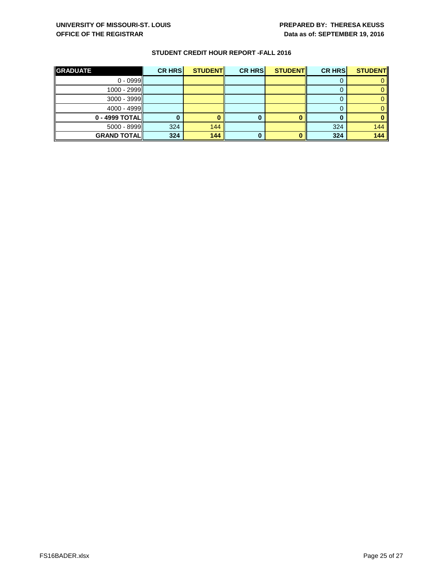| <b>GRADUATE</b>    | <b>CR HRS</b> | <b>STUDENT</b> | <b>CR HRS</b> | <b>STUDENT</b> | <b>CR HRS</b> | <b>STUDENT</b> |
|--------------------|---------------|----------------|---------------|----------------|---------------|----------------|
| $0 - 0999$         |               |                |               |                |               |                |
| $1000 - 2999$      |               |                |               |                |               |                |
| $3000 - 3999$      |               |                |               |                |               |                |
| 4000 - 4999        |               |                |               |                |               |                |
| 0 - 4999 TOTAL     |               |                |               |                |               |                |
| $5000 - 8999$      | 324           | 144            |               |                | 324           | 144            |
| <b>GRAND TOTAL</b> | 324           | 144            |               |                | 324           | 144            |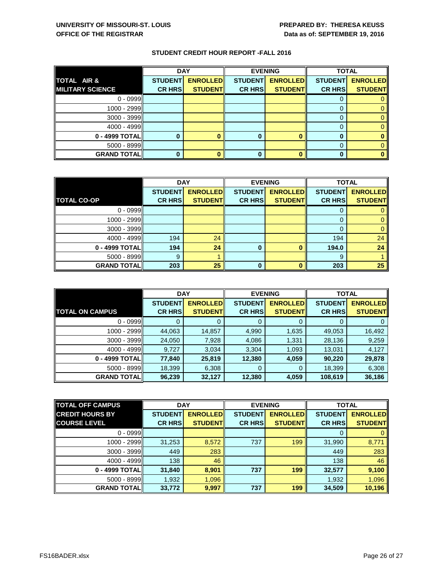|                         | <b>DAY</b>     |                 | <b>EVENING</b> |                 | <b>TOTAL</b>   |                 |
|-------------------------|----------------|-----------------|----------------|-----------------|----------------|-----------------|
| <b>TOTAL AIR &amp;</b>  | <b>STUDENT</b> | <b>ENROLLED</b> | <b>STUDENT</b> | <b>ENROLLED</b> | <b>STUDENT</b> | <b>ENROLLED</b> |
| <b>MILITARY SCIENCE</b> | <b>CR HRS</b>  | <b>STUDENT</b>  | <b>CR HRS</b>  | <b>STUDENT</b>  | <b>CR HRS</b>  | <b>STUDENT</b>  |
| $0 - 0999$              |                |                 |                |                 |                |                 |
| 1000 - 2999             |                |                 |                |                 |                |                 |
| $3000 - 3999$           |                |                 |                |                 |                |                 |
| 4000 - 4999             |                |                 |                |                 |                |                 |
| 0 - 4999 TOTAL          |                |                 |                |                 |                |                 |
| $5000 - 8999$           |                |                 |                |                 |                |                 |
| <b>GRAND TOTAL</b>      |                |                 | 0              |                 |                |                 |

|                      | <b>DAY</b>     |                 | <b>EVENING</b> |                 | <b>TOTAL</b>   |                 |
|----------------------|----------------|-----------------|----------------|-----------------|----------------|-----------------|
|                      | <b>STUDENT</b> | <b>ENROLLED</b> | <b>STUDENT</b> | <b>ENROLLED</b> | <b>STUDENT</b> | <b>ENROLLED</b> |
| <b>TOTAL CO-OP</b>   | <b>CR HRS</b>  | <b>STUDENT</b>  | <b>CR HRS</b>  | <b>STUDENT</b>  | <b>CR HRS</b>  | <b>STUDENT</b>  |
| $0 - 0999$           |                |                 |                |                 |                |                 |
| 1000 - 2999          |                |                 |                |                 | O              |                 |
| $3000 - 3999$        |                |                 |                |                 | 0              |                 |
| 4000 - 4999          | 194            | 24              |                |                 | 194            | 24              |
| 0 - 4999 TOTAL       | 194            | 24              | 0              |                 | 194.0          | 24              |
| $5000 - 8999$        | 9              |                 |                |                 | 9              |                 |
| <b>GRAND TOTAL  </b> | 203            | 25              | 0              |                 | 203            | 25              |

|                        | <b>DAY</b>     |                 |                | <b>EVENING</b>  | <b>TOTAL</b>   |                 |
|------------------------|----------------|-----------------|----------------|-----------------|----------------|-----------------|
|                        | <b>STUDENT</b> | <b>ENROLLED</b> | <b>STUDENT</b> | <b>ENROLLED</b> | <b>STUDENT</b> | <b>ENROLLED</b> |
| <b>TOTAL ON CAMPUS</b> | <b>CR HRS</b>  | <b>STUDENT</b>  | <b>CR HRS</b>  | <b>STUDENT</b>  | <b>CR HRS</b>  | <b>STUDENT</b>  |
| $0 - 0999$             |                |                 | 0              |                 | 0              | 0               |
| 1000 - 2999            | 44,063         | 14,857          | 4,990          | 1,635           | 49,053         | 16,492          |
| $3000 - 3999$          | 24,050         | 7,928           | 4,086          | 1,331           | 28,136         | 9,259           |
| 4000 - 4999            | 9,727          | 3,034           | 3,304          | 1,093           | 13,031         | 4,127           |
| 0 - 4999 TOTAL         | 77,840         | 25,819          | 12,380         | 4,059           | 90,220         | 29,878          |
| 5000 - 8999            | 18,399         | 6,308           | 0              |                 | 18,399         | 6,308           |
| <b>GRAND TOTAL</b>     | 96,239         | 32,127          | 12,380         | 4,059           | 108,619        | 36,186          |

| <b>TOTAL OFF CAMPUS</b> | <b>DAY</b>     |                 |                | <b>EVENING</b>  |                | <b>TOTAL</b>    |
|-------------------------|----------------|-----------------|----------------|-----------------|----------------|-----------------|
| <b>CREDIT HOURS BY</b>  | <b>STUDENT</b> | <b>ENROLLED</b> | <b>STUDENT</b> | <b>ENROLLED</b> | <b>STUDENT</b> | <b>ENROLLED</b> |
| <b>COURSE LEVEL</b>     | <b>CR HRS</b>  | <b>STUDENT</b>  | <b>CR HRS</b>  | <b>STUDENT</b>  | <b>CR HRS</b>  | <b>STUDENT</b>  |
| $0 - 0999$              |                |                 |                |                 | O              | 0               |
| 1000 - 2999             | 31,253         | 8,572           | 737            | 199             | 31,990         | 8,771           |
| $3000 - 3999$           | 449            | 283             |                |                 | 449            | 283             |
| $4000 - 4999$           | 138            | 46              |                |                 | 138            | 46              |
| 0 - 4999 TOTAL          | 31,840         | 8,901           | 737            | 199             | 32,577         | 9,100           |
| $5000 - 8999$           | 1,932          | 1,096           |                |                 | 1,932          | 1,096           |
| <b>GRAND TOTAL</b>      | 33,772         | 9,997           | 737            | 199             | 34,509         | 10,196          |